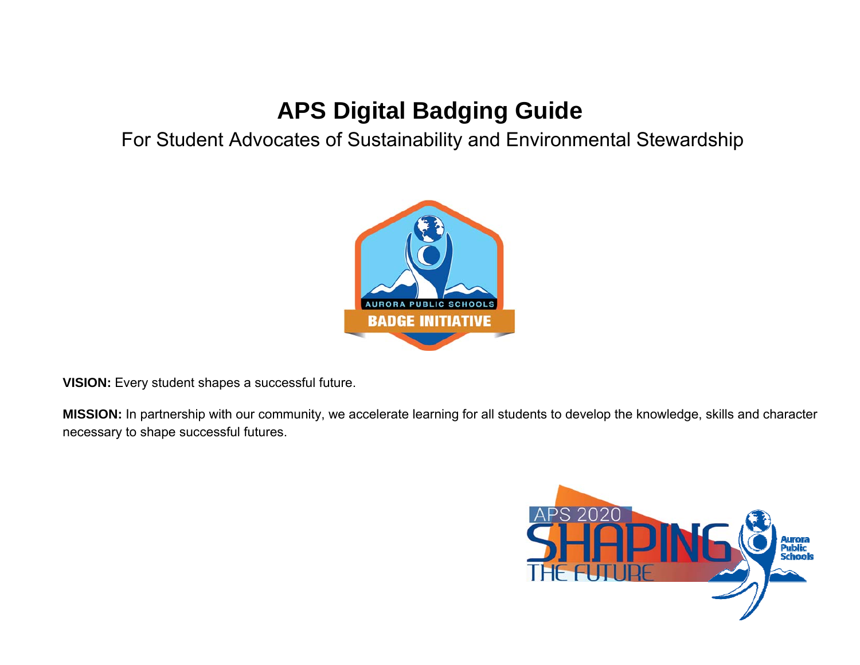## **APS Digital Badging Guide**

## For Student Advocates of Sustainability and Environmental Stewardship



**VISION:** Every student shapes a successful future.

**MISSION:** In partnership with our community, we accelerate learning for all students to develop the knowledge, skills and character necessary to shape successful futures.

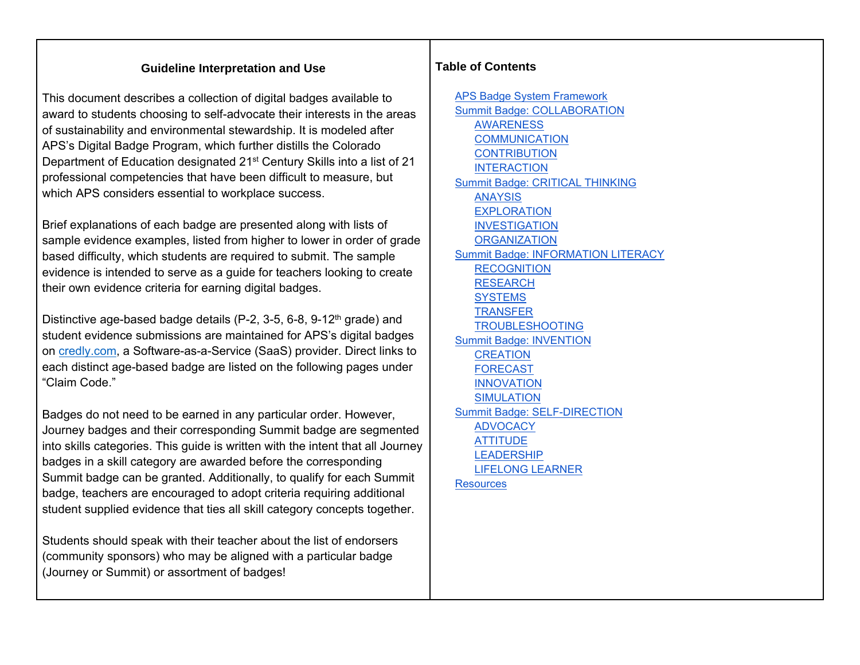#### **Guideline Interpretation and Use**

This document describes a collection of digital badges available to award to students choosing to self-advocate their interests in the areas of sustainability and environmental stewardship. It is modeled after APS's Digital Badge Program, which further distills the Colorado Department of Education designated 21<sup>st</sup> Century Skills into a list of 21 professional competencies that have been difficult to measure, but which APS considers essential to workplace success.

Brief explanations of each badge are presented along with lists of sample evidence examples, listed from higher to lower in order of grade based difficulty, which students are required to submit. The sample evidence is intended to serve as a guide for teachers looking to create their own evidence criteria for earning digital badges.

Distinctive age-based badge details  $(P-2, 3-5, 6-8, 9-12<sup>th</sup>$  grade) and student evidence submissions are maintained for APS's digital badges on credly.com, a Software-as-a-Service (SaaS) provider. Direct links to each distinct age-based badge are listed on the following pages under "Claim Code."

Badges do not need to be earned in any particular order. However, Journey badges and their corresponding Summit badge are segmented into skills categories. This guide is written with the intent that all Journey badges in a skill category are awarded before the corresponding Summit badge can be granted. Additionally, to qualify for each Summit badge, teachers are encouraged to adopt criteria requiring additional student supplied evidence that ties all skill category concepts together.

Students should speak with their teacher about the list of endorsers (community sponsors) who may be aligned with a particular badge (Journey or Summit) or assortment of badges!

#### **Table of Contents**

APS Badge System Framework Summit Badge: COLLABORATION AWARENESS **COMMUNICATION CONTRIBUTION** INTERACTION Summit Badge: CRITICAL THINKING ANAYSIS EXPLORATION INVESTIGATION **ORGANIZATION** Summit Badge: INFORMATION LITERACY RECOGNITION RESEARCH **SYSTEMS TRANSFER** TROUBLESHOOTING Summit Badge: INVENTION CREATION FORECAST INNOVATION SIMULATION Summit Badge: SELF-DIRECTION ADVOCACY **ATTITUDE** LEADERSHIP LIFELONG LEARNER **Resources**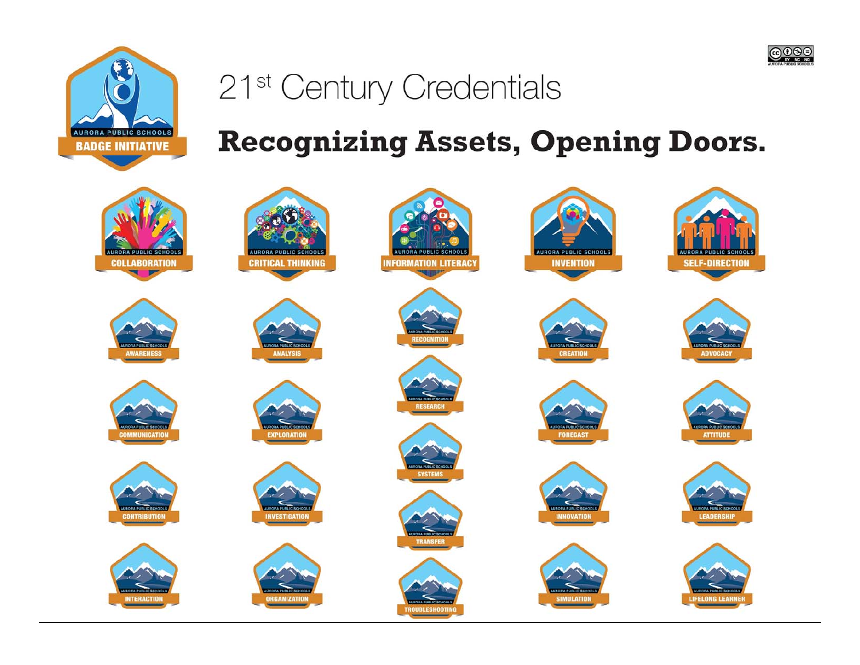



# 21<sup>st</sup> Century Credentials

**Recognizing Assets, Opening Doors.** 

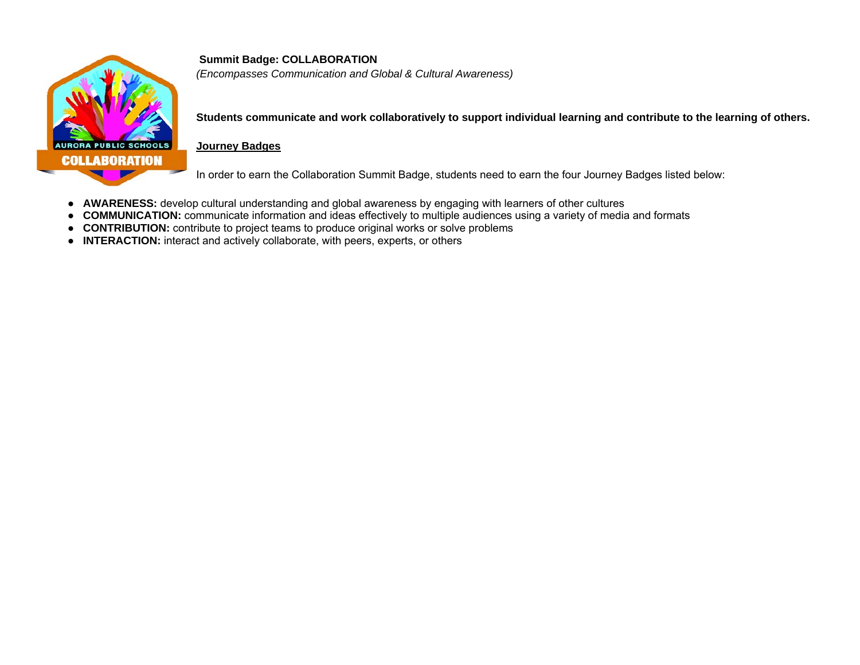

**Summit Badge: COLLABORATION**  *(Encompasses Communication and Global & Cultural Awareness)* 

**Students communicate and work collaboratively to support individual learning and contribute to the learning of others.**

#### **Journey Badges**

In order to earn the Collaboration Summit Badge, students need to earn the four Journey Badges listed below:

- **AWARENESS:** develop cultural understanding and global awareness by engaging with learners of other cultures
- **COMMUNICATION:** communicate information and ideas effectively to multiple audiences using a variety of media and formats
- **CONTRIBUTION:** contribute to project teams to produce original works or solve problems
- **INTERACTION:** interact and actively collaborate, with peers, experts, or others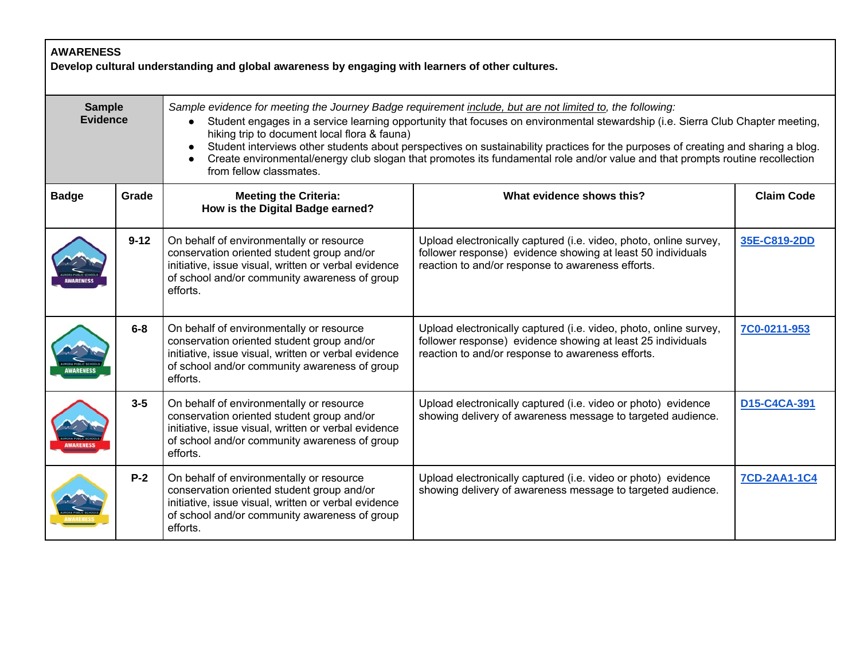| <b>AWARENESS</b><br>Develop cultural understanding and global awareness by engaging with learners of other cultures. |          |                                                                                                                                                                                                             |                                                                                                                                                                                                                                                                                                                                                                                                                                                                                                                   |                     |  |
|----------------------------------------------------------------------------------------------------------------------|----------|-------------------------------------------------------------------------------------------------------------------------------------------------------------------------------------------------------------|-------------------------------------------------------------------------------------------------------------------------------------------------------------------------------------------------------------------------------------------------------------------------------------------------------------------------------------------------------------------------------------------------------------------------------------------------------------------------------------------------------------------|---------------------|--|
| <b>Sample</b><br><b>Evidence</b>                                                                                     |          | $\bullet$<br>hiking trip to document local flora & fauna)<br>from fellow classmates.                                                                                                                        | Sample evidence for meeting the Journey Badge requirement include, but are not limited to, the following:<br>Student engages in a service learning opportunity that focuses on environmental stewardship (i.e. Sierra Club Chapter meeting,<br>Student interviews other students about perspectives on sustainability practices for the purposes of creating and sharing a blog.<br>Create environmental/energy club slogan that promotes its fundamental role and/or value and that prompts routine recollection |                     |  |
| <b>Badge</b>                                                                                                         | Grade    | <b>Meeting the Criteria:</b><br>How is the Digital Badge earned?                                                                                                                                            | What evidence shows this?                                                                                                                                                                                                                                                                                                                                                                                                                                                                                         | <b>Claim Code</b>   |  |
|                                                                                                                      | $9 - 12$ | On behalf of environmentally or resource<br>conservation oriented student group and/or<br>initiative, issue visual, written or verbal evidence<br>of school and/or community awareness of group<br>efforts. | Upload electronically captured (i.e. video, photo, online survey,<br>follower response) evidence showing at least 50 individuals<br>reaction to and/or response to awareness efforts.                                                                                                                                                                                                                                                                                                                             | 35E-C819-2DD        |  |
|                                                                                                                      | $6-8$    | On behalf of environmentally or resource<br>conservation oriented student group and/or<br>initiative, issue visual, written or verbal evidence<br>of school and/or community awareness of group<br>efforts. | Upload electronically captured (i.e. video, photo, online survey,<br>follower response) evidence showing at least 25 individuals<br>reaction to and/or response to awareness efforts.                                                                                                                                                                                                                                                                                                                             | 7C0-0211-953        |  |
|                                                                                                                      | $3 - 5$  | On behalf of environmentally or resource<br>conservation oriented student group and/or<br>initiative, issue visual, written or verbal evidence<br>of school and/or community awareness of group<br>efforts. | Upload electronically captured (i.e. video or photo) evidence<br>showing delivery of awareness message to targeted audience.                                                                                                                                                                                                                                                                                                                                                                                      | D15-C4CA-391        |  |
|                                                                                                                      | $P-2$    | On behalf of environmentally or resource<br>conservation oriented student group and/or<br>initiative, issue visual, written or verbal evidence<br>of school and/or community awareness of group<br>efforts. | Upload electronically captured (i.e. video or photo) evidence<br>showing delivery of awareness message to targeted audience.                                                                                                                                                                                                                                                                                                                                                                                      | <b>7CD-2AA1-1C4</b> |  |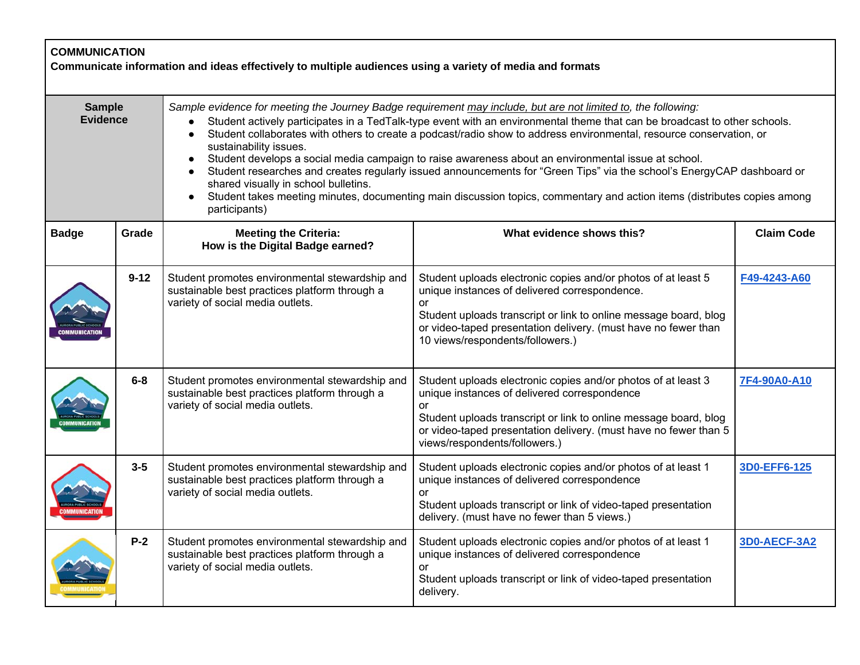| <b>COMMUNICATION</b><br>Communicate information and ideas effectively to multiple audiences using a variety of media and formats |          |                                                                                                                                                                                                                                                                                                                                                                                                                                                                                                                                                                                                                                                                                                                                                                                                                                                          |                                                                                                                                                                                                                                                                                                       |                     |
|----------------------------------------------------------------------------------------------------------------------------------|----------|----------------------------------------------------------------------------------------------------------------------------------------------------------------------------------------------------------------------------------------------------------------------------------------------------------------------------------------------------------------------------------------------------------------------------------------------------------------------------------------------------------------------------------------------------------------------------------------------------------------------------------------------------------------------------------------------------------------------------------------------------------------------------------------------------------------------------------------------------------|-------------------------------------------------------------------------------------------------------------------------------------------------------------------------------------------------------------------------------------------------------------------------------------------------------|---------------------|
| <b>Sample</b><br><b>Evidence</b>                                                                                                 |          | Sample evidence for meeting the Journey Badge requirement may include, but are not limited to, the following:<br>Student actively participates in a TedTalk-type event with an environmental theme that can be broadcast to other schools.<br>Student collaborates with others to create a podcast/radio show to address environmental, resource conservation, or<br>$\bullet$<br>sustainability issues.<br>Student develops a social media campaign to raise awareness about an environmental issue at school.<br>$\bullet$<br>Student researches and creates regularly issued announcements for "Green Tips" via the school's EnergyCAP dashboard or<br>shared visually in school bulletins.<br>Student takes meeting minutes, documenting main discussion topics, commentary and action items (distributes copies among<br>$\bullet$<br>participants) |                                                                                                                                                                                                                                                                                                       |                     |
| <b>Badge</b>                                                                                                                     | Grade    | <b>Meeting the Criteria:</b><br>How is the Digital Badge earned?                                                                                                                                                                                                                                                                                                                                                                                                                                                                                                                                                                                                                                                                                                                                                                                         | What evidence shows this?                                                                                                                                                                                                                                                                             | <b>Claim Code</b>   |
|                                                                                                                                  | $9 - 12$ | Student promotes environmental stewardship and<br>sustainable best practices platform through a<br>variety of social media outlets.                                                                                                                                                                                                                                                                                                                                                                                                                                                                                                                                                                                                                                                                                                                      | Student uploads electronic copies and/or photos of at least 5<br>unique instances of delivered correspondence.<br><b>or</b><br>Student uploads transcript or link to online message board, blog<br>or video-taped presentation delivery. (must have no fewer than<br>10 views/respondents/followers.) | F49-4243-A60        |
|                                                                                                                                  | $6-8$    | Student promotes environmental stewardship and<br>sustainable best practices platform through a<br>variety of social media outlets.                                                                                                                                                                                                                                                                                                                                                                                                                                                                                                                                                                                                                                                                                                                      | Student uploads electronic copies and/or photos of at least 3<br>unique instances of delivered correspondence<br><b>or</b><br>Student uploads transcript or link to online message board, blog<br>or video-taped presentation delivery. (must have no fewer than 5<br>views/respondents/followers.)   | 7F4-90A0-A10        |
|                                                                                                                                  | $3-5$    | Student promotes environmental stewardship and<br>sustainable best practices platform through a<br>variety of social media outlets.                                                                                                                                                                                                                                                                                                                                                                                                                                                                                                                                                                                                                                                                                                                      | Student uploads electronic copies and/or photos of at least 1<br>unique instances of delivered correspondence<br>or<br>Student uploads transcript or link of video-taped presentation<br>delivery. (must have no fewer than 5 views.)                                                                 | 3D0-EFF6-125        |
|                                                                                                                                  | $P-2$    | Student promotes environmental stewardship and<br>sustainable best practices platform through a<br>variety of social media outlets.                                                                                                                                                                                                                                                                                                                                                                                                                                                                                                                                                                                                                                                                                                                      | Student uploads electronic copies and/or photos of at least 1<br>unique instances of delivered correspondence<br>or<br>Student uploads transcript or link of video-taped presentation<br>delivery.                                                                                                    | <b>3D0-AECF-3A2</b> |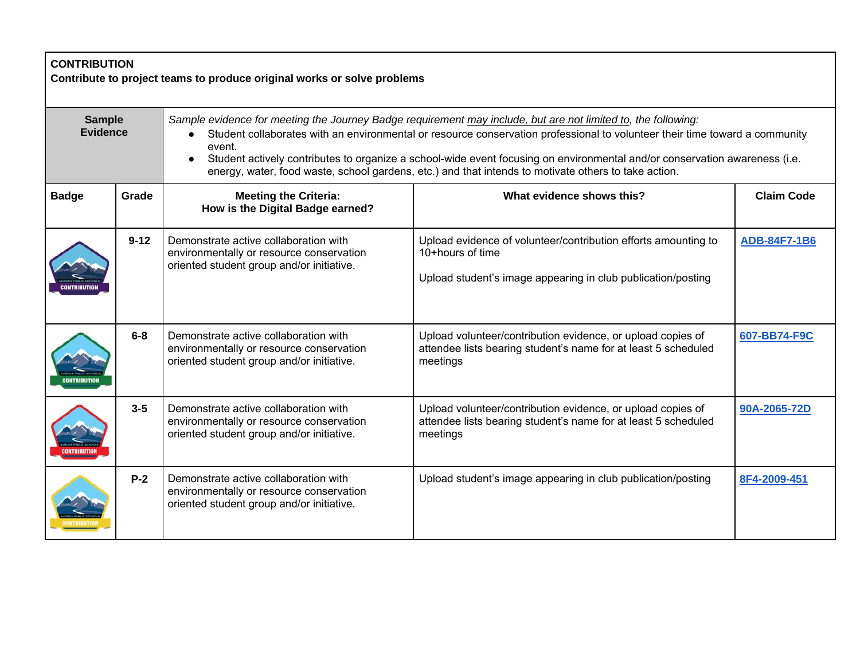| <b>CONTRIBUTION</b><br>Contribute to project teams to produce original works or solve problems |          |                                                                                                                                                                                                                                                                                                                                                                                                                                                                                              |                                                                                                                                                    |                     |  |
|------------------------------------------------------------------------------------------------|----------|----------------------------------------------------------------------------------------------------------------------------------------------------------------------------------------------------------------------------------------------------------------------------------------------------------------------------------------------------------------------------------------------------------------------------------------------------------------------------------------------|----------------------------------------------------------------------------------------------------------------------------------------------------|---------------------|--|
| <b>Sample</b><br><b>Evidence</b>                                                               |          | Sample evidence for meeting the Journey Badge requirement may include, but are not limited to, the following:<br>Student collaborates with an environmental or resource conservation professional to volunteer their time toward a community<br>event.<br>Student actively contributes to organize a school-wide event focusing on environmental and/or conservation awareness (i.e.<br>energy, water, food waste, school gardens, etc.) and that intends to motivate others to take action. |                                                                                                                                                    |                     |  |
| <b>Badge</b>                                                                                   | Grade    | <b>Meeting the Criteria:</b><br>How is the Digital Badge earned?                                                                                                                                                                                                                                                                                                                                                                                                                             | What evidence shows this?                                                                                                                          | <b>Claim Code</b>   |  |
|                                                                                                | $9 - 12$ | Demonstrate active collaboration with<br>environmentally or resource conservation<br>oriented student group and/or initiative.                                                                                                                                                                                                                                                                                                                                                               | Upload evidence of volunteer/contribution efforts amounting to<br>10+hours of time<br>Upload student's image appearing in club publication/posting | <b>ADB-84F7-1B6</b> |  |
|                                                                                                | $6 - 8$  | Demonstrate active collaboration with<br>environmentally or resource conservation<br>oriented student group and/or initiative.                                                                                                                                                                                                                                                                                                                                                               | Upload volunteer/contribution evidence, or upload copies of<br>attendee lists bearing student's name for at least 5 scheduled<br>meetings          | 607-BB74-F9C        |  |
|                                                                                                | $3 - 5$  | Demonstrate active collaboration with<br>environmentally or resource conservation<br>oriented student group and/or initiative.                                                                                                                                                                                                                                                                                                                                                               | Upload volunteer/contribution evidence, or upload copies of<br>attendee lists bearing student's name for at least 5 scheduled<br>meetings          | 90A-2065-72D        |  |
|                                                                                                | $P-2$    | Demonstrate active collaboration with<br>environmentally or resource conservation<br>oriented student group and/or initiative.                                                                                                                                                                                                                                                                                                                                                               | Upload student's image appearing in club publication/posting                                                                                       | 8F4-2009-451        |  |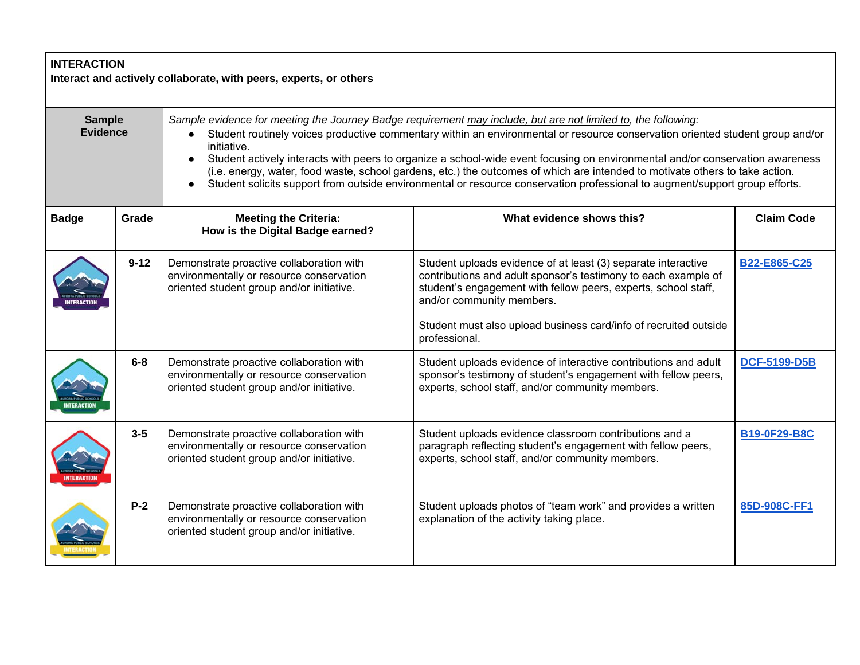| <b>INTERACTION</b><br>Interact and actively collaborate, with peers, experts, or others |          |                                                                                                                                                                                                                                                                                                                                                                                                                                                                                                                                                                                                                                                                            |                                                                                                                                                                                                                                                                                                                     |                     |  |
|-----------------------------------------------------------------------------------------|----------|----------------------------------------------------------------------------------------------------------------------------------------------------------------------------------------------------------------------------------------------------------------------------------------------------------------------------------------------------------------------------------------------------------------------------------------------------------------------------------------------------------------------------------------------------------------------------------------------------------------------------------------------------------------------------|---------------------------------------------------------------------------------------------------------------------------------------------------------------------------------------------------------------------------------------------------------------------------------------------------------------------|---------------------|--|
| <b>Sample</b><br><b>Evidence</b>                                                        |          | Sample evidence for meeting the Journey Badge requirement may include, but are not limited to, the following:<br>Student routinely voices productive commentary within an environmental or resource conservation oriented student group and/or<br>initiative.<br>Student actively interacts with peers to organize a school-wide event focusing on environmental and/or conservation awareness<br>$\bullet$<br>(i.e. energy, water, food waste, school gardens, etc.) the outcomes of which are intended to motivate others to take action.<br>Student solicits support from outside environmental or resource conservation professional to augment/support group efforts. |                                                                                                                                                                                                                                                                                                                     |                     |  |
| <b>Badge</b>                                                                            | Grade    | <b>Meeting the Criteria:</b><br>How is the Digital Badge earned?                                                                                                                                                                                                                                                                                                                                                                                                                                                                                                                                                                                                           | What evidence shows this?                                                                                                                                                                                                                                                                                           | <b>Claim Code</b>   |  |
|                                                                                         | $9 - 12$ | Demonstrate proactive collaboration with<br>environmentally or resource conservation<br>oriented student group and/or initiative.                                                                                                                                                                                                                                                                                                                                                                                                                                                                                                                                          | Student uploads evidence of at least (3) separate interactive<br>contributions and adult sponsor's testimony to each example of<br>student's engagement with fellow peers, experts, school staff,<br>and/or community members.<br>Student must also upload business card/info of recruited outside<br>professional. | B22-E865-C25        |  |
|                                                                                         | $6-8$    | Demonstrate proactive collaboration with<br>environmentally or resource conservation<br>oriented student group and/or initiative.                                                                                                                                                                                                                                                                                                                                                                                                                                                                                                                                          | Student uploads evidence of interactive contributions and adult<br>sponsor's testimony of student's engagement with fellow peers,<br>experts, school staff, and/or community members.                                                                                                                               | <b>DCF-5199-D5B</b> |  |
|                                                                                         | $3 - 5$  | Demonstrate proactive collaboration with<br>environmentally or resource conservation<br>oriented student group and/or initiative.                                                                                                                                                                                                                                                                                                                                                                                                                                                                                                                                          | Student uploads evidence classroom contributions and a<br>paragraph reflecting student's engagement with fellow peers,<br>experts, school staff, and/or community members.                                                                                                                                          | <b>B19-0F29-B8C</b> |  |
|                                                                                         | $P-2$    | Demonstrate proactive collaboration with<br>environmentally or resource conservation<br>oriented student group and/or initiative.                                                                                                                                                                                                                                                                                                                                                                                                                                                                                                                                          | Student uploads photos of "team work" and provides a written<br>explanation of the activity taking place.                                                                                                                                                                                                           | 85D-908C-FF1        |  |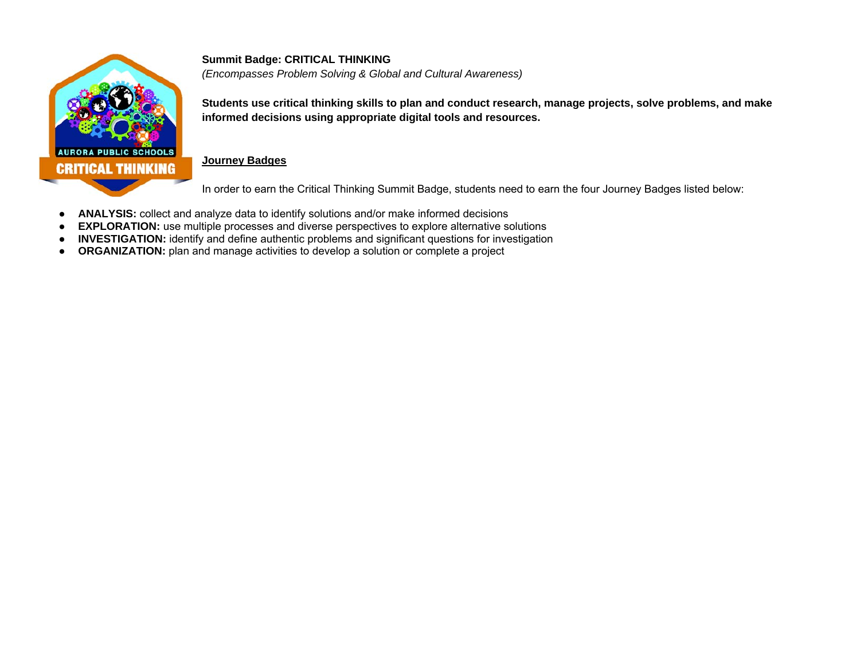

**Summit Badge: CRITICAL THINKING**  *(Encompasses Problem Solving & Global and Cultural Awareness)* 

**Students use critical thinking skills to plan and conduct research, manage projects, solve problems, and make informed decisions using appropriate digital tools and resources.** 

#### **Journey Badges**

In order to earn the Critical Thinking Summit Badge, students need to earn the four Journey Badges listed below:

- $\bullet$ **ANALYSIS:** collect and analyze data to identify solutions and/or make informed decisions
- $\bullet$ **EXPLORATION:** use multiple processes and diverse perspectives to explore alternative solutions
- $\bullet$ **INVESTIGATION:** identify and define authentic problems and significant questions for investigation
- **ORGANIZATION:** plan and manage activities to develop a solution or complete a project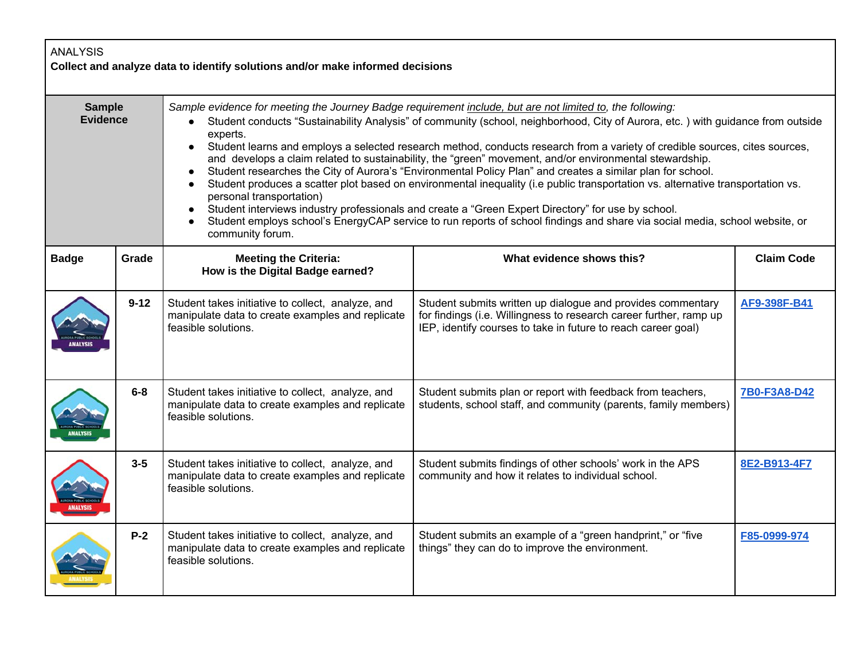| <b>ANALYSIS</b><br>Collect and analyze data to identify solutions and/or make informed decisions |          |                                                                                                                                                                                                                                                                                                                                                                                                                                                                                                                                                                                                                                                                                                                                                                                                                                                                                                                                                                                                                                                                    |                                                                                                                                                                                                    |                   |
|--------------------------------------------------------------------------------------------------|----------|--------------------------------------------------------------------------------------------------------------------------------------------------------------------------------------------------------------------------------------------------------------------------------------------------------------------------------------------------------------------------------------------------------------------------------------------------------------------------------------------------------------------------------------------------------------------------------------------------------------------------------------------------------------------------------------------------------------------------------------------------------------------------------------------------------------------------------------------------------------------------------------------------------------------------------------------------------------------------------------------------------------------------------------------------------------------|----------------------------------------------------------------------------------------------------------------------------------------------------------------------------------------------------|-------------------|
| <b>Sample</b><br><b>Evidence</b>                                                                 |          | Sample evidence for meeting the Journey Badge requirement include, but are not limited to, the following:<br>Student conducts "Sustainability Analysis" of community (school, neighborhood, City of Aurora, etc.) with guidance from outside<br>experts.<br>Student learns and employs a selected research method, conducts research from a variety of credible sources, cites sources,<br>$\bullet$<br>and develops a claim related to sustainability, the "green" movement, and/or environmental stewardship.<br>Student researches the City of Aurora's "Environmental Policy Plan" and creates a similar plan for school.<br>Student produces a scatter plot based on environmental inequality (i.e public transportation vs. alternative transportation vs.<br>personal transportation)<br>Student interviews industry professionals and create a "Green Expert Directory" for use by school.<br>Student employs school's EnergyCAP service to run reports of school findings and share via social media, school website, or<br>$\bullet$<br>community forum. |                                                                                                                                                                                                    |                   |
| <b>Badge</b>                                                                                     | Grade    | <b>Meeting the Criteria:</b><br>How is the Digital Badge earned?                                                                                                                                                                                                                                                                                                                                                                                                                                                                                                                                                                                                                                                                                                                                                                                                                                                                                                                                                                                                   | What evidence shows this?                                                                                                                                                                          | <b>Claim Code</b> |
|                                                                                                  | $9 - 12$ | Student takes initiative to collect, analyze, and<br>manipulate data to create examples and replicate<br>feasible solutions.                                                                                                                                                                                                                                                                                                                                                                                                                                                                                                                                                                                                                                                                                                                                                                                                                                                                                                                                       | Student submits written up dialogue and provides commentary<br>for findings (i.e. Willingness to research career further, ramp up<br>IEP, identify courses to take in future to reach career goal) | AF9-398F-B41      |
|                                                                                                  | $6-8$    | Student takes initiative to collect, analyze, and<br>manipulate data to create examples and replicate<br>feasible solutions.                                                                                                                                                                                                                                                                                                                                                                                                                                                                                                                                                                                                                                                                                                                                                                                                                                                                                                                                       | Student submits plan or report with feedback from teachers,<br>students, school staff, and community (parents, family members)                                                                     | 7B0-F3A8-D42      |
|                                                                                                  | $3 - 5$  | Student takes initiative to collect, analyze, and<br>manipulate data to create examples and replicate<br>feasible solutions.                                                                                                                                                                                                                                                                                                                                                                                                                                                                                                                                                                                                                                                                                                                                                                                                                                                                                                                                       | Student submits findings of other schools' work in the APS<br>community and how it relates to individual school.                                                                                   | 8E2-B913-4F7      |
|                                                                                                  | $P-2$    | Student takes initiative to collect, analyze, and<br>manipulate data to create examples and replicate<br>feasible solutions.                                                                                                                                                                                                                                                                                                                                                                                                                                                                                                                                                                                                                                                                                                                                                                                                                                                                                                                                       | Student submits an example of a "green handprint," or "five<br>things" they can do to improve the environment.                                                                                     | F85-0999-974      |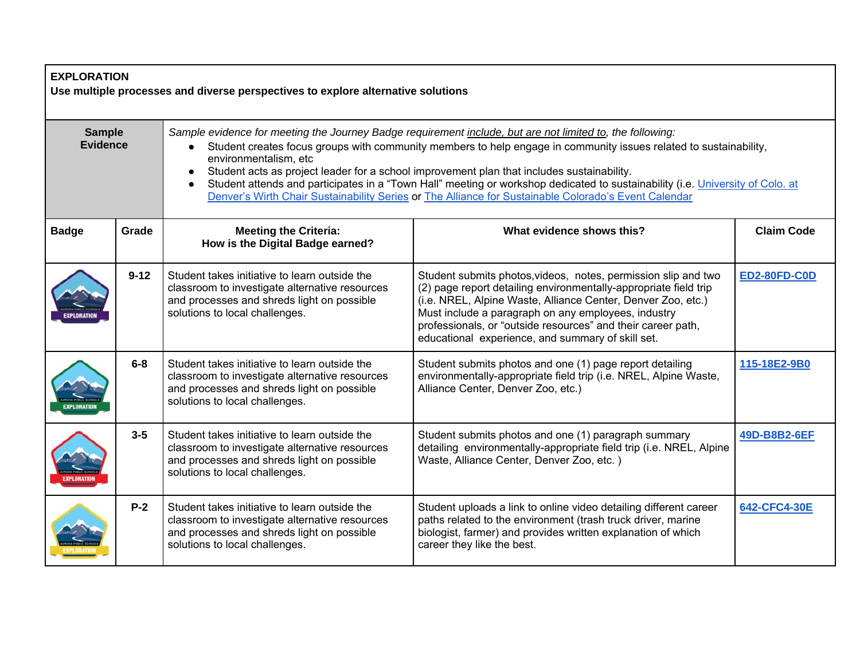| <b>EXPLORATION</b><br>Use multiple processes and diverse perspectives to explore alternative solutions |          |                                                                                                                                                                                 |                                                                                                                                                                                                                                                                                                                                                                                                                                                                                                                                                                        |                     |  |
|--------------------------------------------------------------------------------------------------------|----------|---------------------------------------------------------------------------------------------------------------------------------------------------------------------------------|------------------------------------------------------------------------------------------------------------------------------------------------------------------------------------------------------------------------------------------------------------------------------------------------------------------------------------------------------------------------------------------------------------------------------------------------------------------------------------------------------------------------------------------------------------------------|---------------------|--|
| <b>Sample</b><br><b>Evidence</b>                                                                       |          | environmentalism, etc                                                                                                                                                           | Sample evidence for meeting the Journey Badge requirement include, but are not limited to, the following:<br>Student creates focus groups with community members to help engage in community issues related to sustainability,<br>Student acts as project leader for a school improvement plan that includes sustainability.<br>Student attends and participates in a "Town Hall" meeting or workshop dedicated to sustainability (i.e. University of Colo. at<br>Denver's Wirth Chair Sustainability Series or The Alliance for Sustainable Colorado's Event Calendar |                     |  |
| <b>Badge</b>                                                                                           | Grade    | <b>Meeting the Criteria:</b><br>How is the Digital Badge earned?                                                                                                                | What evidence shows this?                                                                                                                                                                                                                                                                                                                                                                                                                                                                                                                                              | <b>Claim Code</b>   |  |
|                                                                                                        | $9 - 12$ | Student takes initiative to learn outside the<br>classroom to investigate alternative resources<br>and processes and shreds light on possible<br>solutions to local challenges. | Student submits photos, videos, notes, permission slip and two<br>(2) page report detailing environmentally-appropriate field trip<br>(i.e. NREL, Alpine Waste, Alliance Center, Denver Zoo, etc.)<br>Must include a paragraph on any employees, industry<br>professionals, or "outside resources" and their career path,<br>educational experience, and summary of skill set.                                                                                                                                                                                         | <b>ED2-80FD-C0D</b> |  |
|                                                                                                        | $6 - 8$  | Student takes initiative to learn outside the<br>classroom to investigate alternative resources<br>and processes and shreds light on possible<br>solutions to local challenges. | Student submits photos and one (1) page report detailing<br>environmentally-appropriate field trip (i.e. NREL, Alpine Waste,<br>Alliance Center, Denver Zoo, etc.)                                                                                                                                                                                                                                                                                                                                                                                                     | 115-18E2-9B0        |  |
|                                                                                                        | $3 - 5$  | Student takes initiative to learn outside the<br>classroom to investigate alternative resources<br>and processes and shreds light on possible<br>solutions to local challenges. | Student submits photos and one (1) paragraph summary<br>detailing environmentally-appropriate field trip (i.e. NREL, Alpine<br>Waste, Alliance Center, Denver Zoo, etc.)                                                                                                                                                                                                                                                                                                                                                                                               | 49D-B8B2-6EF        |  |
|                                                                                                        | $P-2$    | Student takes initiative to learn outside the<br>classroom to investigate alternative resources<br>and processes and shreds light on possible<br>solutions to local challenges. | Student uploads a link to online video detailing different career<br>paths related to the environment (trash truck driver, marine<br>biologist, farmer) and provides written explanation of which<br>career they like the best.                                                                                                                                                                                                                                                                                                                                        | 642-CFC4-30E        |  |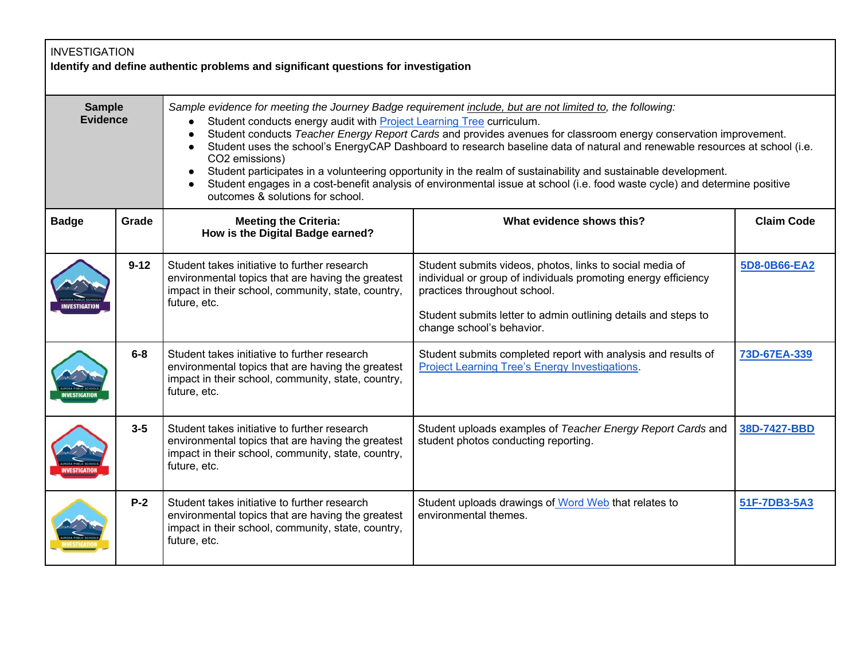| <b>INVESTIGATION</b><br>Identify and define authentic problems and significant questions for investigation |          |                                                                                                                                                                                                                                                                                                                                                                                                                                                                                                                                                                                                                                                                                                                                                        |                                                                                                                                                                                                                                                           |                   |  |
|------------------------------------------------------------------------------------------------------------|----------|--------------------------------------------------------------------------------------------------------------------------------------------------------------------------------------------------------------------------------------------------------------------------------------------------------------------------------------------------------------------------------------------------------------------------------------------------------------------------------------------------------------------------------------------------------------------------------------------------------------------------------------------------------------------------------------------------------------------------------------------------------|-----------------------------------------------------------------------------------------------------------------------------------------------------------------------------------------------------------------------------------------------------------|-------------------|--|
| <b>Sample</b><br><b>Evidence</b>                                                                           |          | Sample evidence for meeting the Journey Badge requirement include, but are not limited to, the following:<br>Student conducts energy audit with Project Learning Tree curriculum.<br>Student conducts Teacher Energy Report Cards and provides avenues for classroom energy conservation improvement.<br>$\bullet$<br>Student uses the school's EnergyCAP Dashboard to research baseline data of natural and renewable resources at school (i.e.<br>CO2 emissions)<br>Student participates in a volunteering opportunity in the realm of sustainability and sustainable development.<br>Student engages in a cost-benefit analysis of environmental issue at school (i.e. food waste cycle) and determine positive<br>outcomes & solutions for school. |                                                                                                                                                                                                                                                           |                   |  |
| <b>Badge</b>                                                                                               | Grade    | <b>Meeting the Criteria:</b><br>How is the Digital Badge earned?                                                                                                                                                                                                                                                                                                                                                                                                                                                                                                                                                                                                                                                                                       | What evidence shows this?                                                                                                                                                                                                                                 | <b>Claim Code</b> |  |
|                                                                                                            | $9 - 12$ | Student takes initiative to further research<br>environmental topics that are having the greatest<br>impact in their school, community, state, country,<br>future, etc.                                                                                                                                                                                                                                                                                                                                                                                                                                                                                                                                                                                | Student submits videos, photos, links to social media of<br>individual or group of individuals promoting energy efficiency<br>practices throughout school.<br>Student submits letter to admin outlining details and steps to<br>change school's behavior. | 5D8-0B66-EA2      |  |
|                                                                                                            | $6-8$    | Student takes initiative to further research<br>environmental topics that are having the greatest<br>impact in their school, community, state, country,<br>future, etc.                                                                                                                                                                                                                                                                                                                                                                                                                                                                                                                                                                                | Student submits completed report with analysis and results of<br>Project Learning Tree's Energy Investigations.                                                                                                                                           | 73D-67EA-339      |  |
|                                                                                                            | $3 - 5$  | Student takes initiative to further research<br>environmental topics that are having the greatest<br>impact in their school, community, state, country,<br>future, etc.                                                                                                                                                                                                                                                                                                                                                                                                                                                                                                                                                                                | Student uploads examples of Teacher Energy Report Cards and<br>student photos conducting reporting.                                                                                                                                                       | 38D-7427-BBD      |  |
|                                                                                                            | $P-2$    | Student takes initiative to further research<br>environmental topics that are having the greatest<br>impact in their school, community, state, country,<br>future, etc.                                                                                                                                                                                                                                                                                                                                                                                                                                                                                                                                                                                | Student uploads drawings of Word Web that relates to<br>environmental themes.                                                                                                                                                                             | 51F-7DB3-5A3      |  |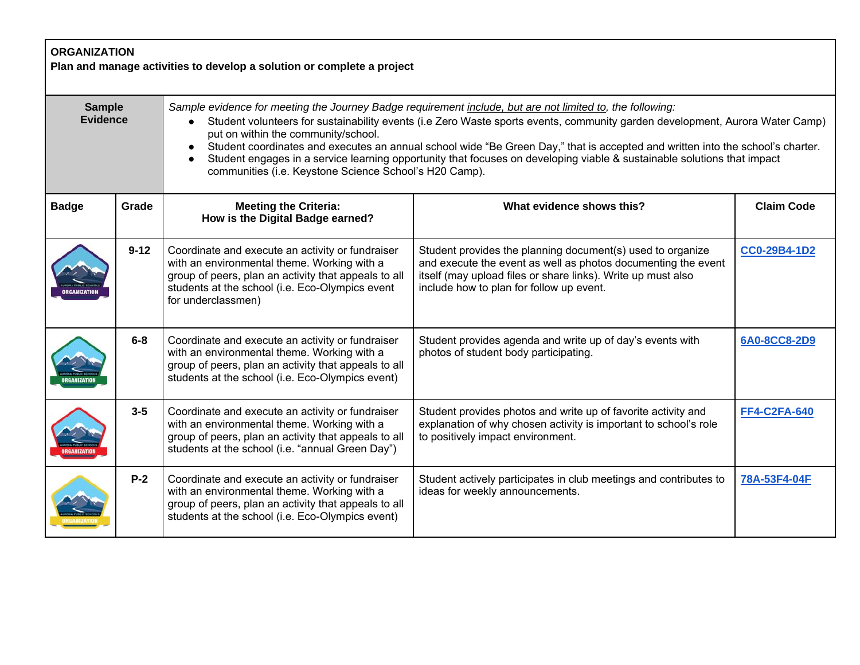|                                  | <b>ORGANIZATION</b><br>Plan and manage activities to develop a solution or complete a project |                                                                                                                                                                                                                                                                                                                                                                                                                                                                                                                                                                                                                      |                                                                                                                                                                                                                                         |                     |  |  |
|----------------------------------|-----------------------------------------------------------------------------------------------|----------------------------------------------------------------------------------------------------------------------------------------------------------------------------------------------------------------------------------------------------------------------------------------------------------------------------------------------------------------------------------------------------------------------------------------------------------------------------------------------------------------------------------------------------------------------------------------------------------------------|-----------------------------------------------------------------------------------------------------------------------------------------------------------------------------------------------------------------------------------------|---------------------|--|--|
| <b>Sample</b><br><b>Evidence</b> |                                                                                               | Sample evidence for meeting the Journey Badge requirement include, but are not limited to, the following:<br>Student volunteers for sustainability events (i.e Zero Waste sports events, community garden development, Aurora Water Camp)<br>put on within the community/school.<br>Student coordinates and executes an annual school wide "Be Green Day," that is accepted and written into the school's charter.<br>$\bullet$<br>Student engages in a service learning opportunity that focuses on developing viable & sustainable solutions that impact<br>communities (i.e. Keystone Science School's H20 Camp). |                                                                                                                                                                                                                                         |                     |  |  |
| <b>Badge</b>                     | Grade                                                                                         | <b>Meeting the Criteria:</b><br>How is the Digital Badge earned?                                                                                                                                                                                                                                                                                                                                                                                                                                                                                                                                                     | What evidence shows this?                                                                                                                                                                                                               | <b>Claim Code</b>   |  |  |
|                                  | $9 - 12$                                                                                      | Coordinate and execute an activity or fundraiser<br>with an environmental theme. Working with a<br>group of peers, plan an activity that appeals to all<br>students at the school (i.e. Eco-Olympics event<br>for underclassmen)                                                                                                                                                                                                                                                                                                                                                                                     | Student provides the planning document(s) used to organize<br>and execute the event as well as photos documenting the event<br>itself (may upload files or share links). Write up must also<br>include how to plan for follow up event. | <b>CC0-29B4-1D2</b> |  |  |
|                                  | $6-8$                                                                                         | Coordinate and execute an activity or fundraiser<br>with an environmental theme. Working with a<br>group of peers, plan an activity that appeals to all<br>students at the school (i.e. Eco-Olympics event)                                                                                                                                                                                                                                                                                                                                                                                                          | Student provides agenda and write up of day's events with<br>photos of student body participating.                                                                                                                                      | 6A0-8CC8-2D9        |  |  |
|                                  | $3 - 5$                                                                                       | Coordinate and execute an activity or fundraiser<br>with an environmental theme. Working with a<br>group of peers, plan an activity that appeals to all<br>students at the school (i.e. "annual Green Day")                                                                                                                                                                                                                                                                                                                                                                                                          | Student provides photos and write up of favorite activity and<br>explanation of why chosen activity is important to school's role<br>to positively impact environment.                                                                  | <b>FF4-C2FA-640</b> |  |  |
|                                  | $P-2$                                                                                         | Coordinate and execute an activity or fundraiser<br>with an environmental theme. Working with a<br>group of peers, plan an activity that appeals to all<br>students at the school (i.e. Eco-Olympics event)                                                                                                                                                                                                                                                                                                                                                                                                          | Student actively participates in club meetings and contributes to<br>ideas for weekly announcements.                                                                                                                                    | 78A-53F4-04F        |  |  |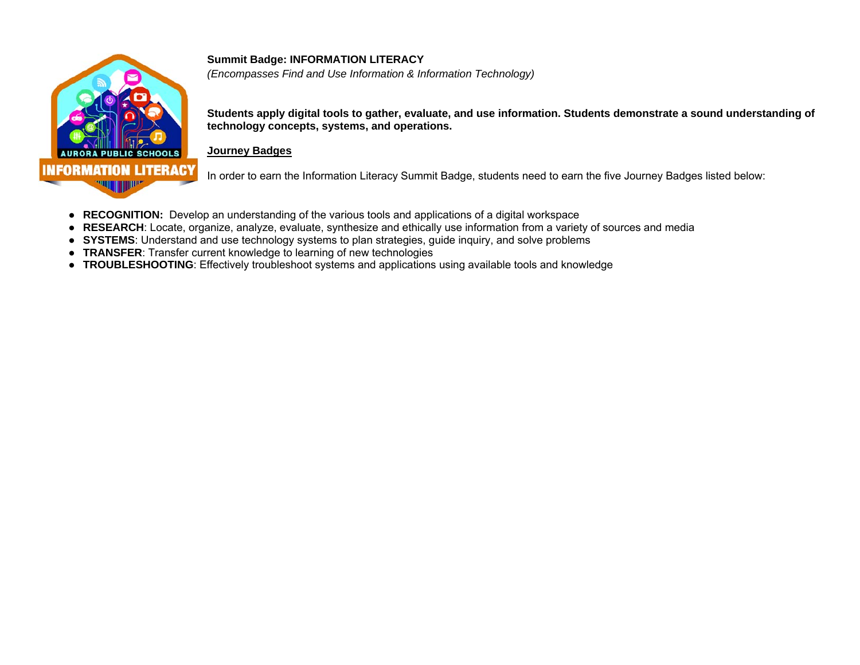

#### **Summit Badge: INFORMATION LITERACY**

*(Encompasses Find and Use Information & Information Technology)*

**Students apply digital tools to gather, evaluate, and use information. Students demonstrate a sound understanding of technology concepts, systems, and operations.** 

#### **Journey Badges**

In order to earn the Information Literacy Summit Badge, students need to earn the five Journey Badges listed below:

- **RECOGNITION:** Develop an understanding of the various tools and applications of a digital workspace
- **RESEARCH**: Locate, organize, analyze, evaluate, synthesize and ethically use information from a variety of sources and media
- **SYSTEMS**: Understand and use technology systems to plan strategies, guide inquiry, and solve problems
- **TRANSFER**: Transfer current knowledge to learning of new technologies
- **TROUBLESHOOTING**: Effectively troubleshoot systems and applications using available tools and knowledge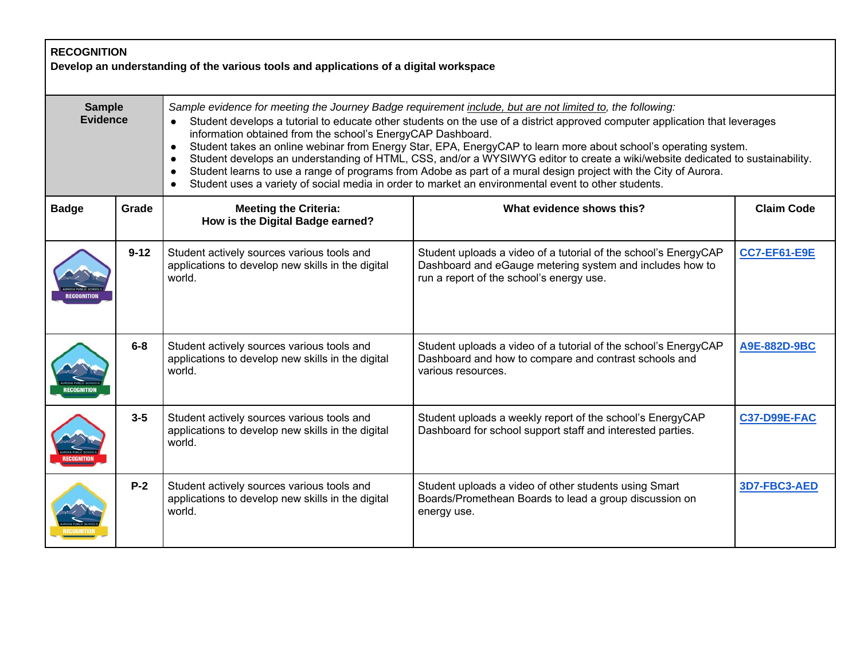| <b>RECOGNITION</b><br>Develop an understanding of the various tools and applications of a digital workspace |          |                                                                                                                                                                                                                                                                                                                                                                                                                                                                                                                                                                                                                                                                                                                                                                                                                                           |                                                                                                                                                                         |                     |  |
|-------------------------------------------------------------------------------------------------------------|----------|-------------------------------------------------------------------------------------------------------------------------------------------------------------------------------------------------------------------------------------------------------------------------------------------------------------------------------------------------------------------------------------------------------------------------------------------------------------------------------------------------------------------------------------------------------------------------------------------------------------------------------------------------------------------------------------------------------------------------------------------------------------------------------------------------------------------------------------------|-------------------------------------------------------------------------------------------------------------------------------------------------------------------------|---------------------|--|
| <b>Sample</b><br><b>Evidence</b>                                                                            |          | Sample evidence for meeting the Journey Badge requirement include, but are not limited to, the following:<br>Student develops a tutorial to educate other students on the use of a district approved computer application that leverages<br>information obtained from the school's EnergyCAP Dashboard.<br>Student takes an online webinar from Energy Star, EPA, EnergyCAP to learn more about school's operating system.<br>$\bullet$<br>Student develops an understanding of HTML, CSS, and/or a WYSIWYG editor to create a wiki/website dedicated to sustainability.<br>$\bullet$<br>Student learns to use a range of programs from Adobe as part of a mural design project with the City of Aurora.<br>$\bullet$<br>Student uses a variety of social media in order to market an environmental event to other students.<br>$\bullet$ |                                                                                                                                                                         |                     |  |
| <b>Badge</b>                                                                                                | Grade    | <b>Meeting the Criteria:</b><br>How is the Digital Badge earned?                                                                                                                                                                                                                                                                                                                                                                                                                                                                                                                                                                                                                                                                                                                                                                          | What evidence shows this?                                                                                                                                               | <b>Claim Code</b>   |  |
|                                                                                                             | $9 - 12$ | Student actively sources various tools and<br>applications to develop new skills in the digital<br>world.                                                                                                                                                                                                                                                                                                                                                                                                                                                                                                                                                                                                                                                                                                                                 | Student uploads a video of a tutorial of the school's EnergyCAP<br>Dashboard and eGauge metering system and includes how to<br>run a report of the school's energy use. | <b>CC7-EF61-E9E</b> |  |
|                                                                                                             | $6 - 8$  | Student actively sources various tools and<br>applications to develop new skills in the digital<br>world.                                                                                                                                                                                                                                                                                                                                                                                                                                                                                                                                                                                                                                                                                                                                 | Student uploads a video of a tutorial of the school's EnergyCAP<br>Dashboard and how to compare and contrast schools and<br>various resources.                          | A9E-882D-9BC        |  |
|                                                                                                             | $3-5$    | Student actively sources various tools and<br>applications to develop new skills in the digital<br>world.                                                                                                                                                                                                                                                                                                                                                                                                                                                                                                                                                                                                                                                                                                                                 | Student uploads a weekly report of the school's EnergyCAP<br>Dashboard for school support staff and interested parties.                                                 | <b>C37-D99E-FAC</b> |  |
|                                                                                                             | $P-2$    | Student actively sources various tools and<br>applications to develop new skills in the digital<br>world.                                                                                                                                                                                                                                                                                                                                                                                                                                                                                                                                                                                                                                                                                                                                 | Student uploads a video of other students using Smart<br>Boards/Promethean Boards to lead a group discussion on<br>energy use.                                          | 3D7-FBC3-AED        |  |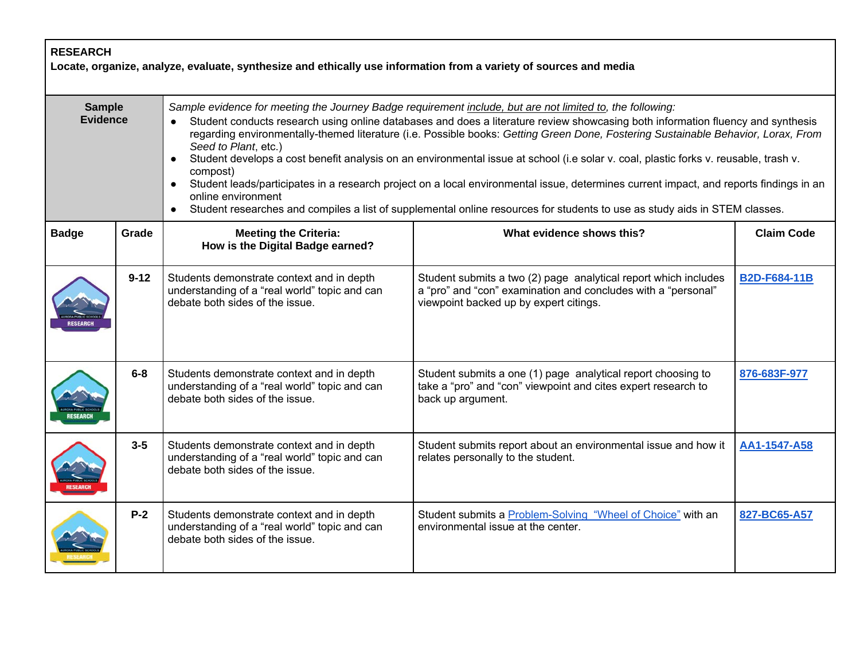| <b>RESEARCH</b><br>Locate, organize, analyze, evaluate, synthesize and ethically use information from a variety of sources and media |          |                                                                                                                                                                                                                                                                                                                                                                                                                                                                                                                                                                                                                                                                                                                                                                                                                                                                                       |                                                                                                                                                                            |                     |
|--------------------------------------------------------------------------------------------------------------------------------------|----------|---------------------------------------------------------------------------------------------------------------------------------------------------------------------------------------------------------------------------------------------------------------------------------------------------------------------------------------------------------------------------------------------------------------------------------------------------------------------------------------------------------------------------------------------------------------------------------------------------------------------------------------------------------------------------------------------------------------------------------------------------------------------------------------------------------------------------------------------------------------------------------------|----------------------------------------------------------------------------------------------------------------------------------------------------------------------------|---------------------|
| <b>Sample</b><br><b>Evidence</b>                                                                                                     |          | Sample evidence for meeting the Journey Badge requirement include, but are not limited to, the following:<br>Student conducts research using online databases and does a literature review showcasing both information fluency and synthesis<br>$\bullet$<br>regarding environmentally-themed literature (i.e. Possible books: Getting Green Done, Fostering Sustainable Behavior, Lorax, From<br>Seed to Plant, etc.)<br>Student develops a cost benefit analysis on an environmental issue at school (i.e solar v. coal, plastic forks v. reusable, trash v.<br>compost)<br>Student leads/participates in a research project on a local environmental issue, determines current impact, and reports findings in an<br>online environment<br>Student researches and compiles a list of supplemental online resources for students to use as study aids in STEM classes.<br>$\bullet$ |                                                                                                                                                                            |                     |
| <b>Badge</b>                                                                                                                         | Grade    | <b>Meeting the Criteria:</b><br>How is the Digital Badge earned?                                                                                                                                                                                                                                                                                                                                                                                                                                                                                                                                                                                                                                                                                                                                                                                                                      | What evidence shows this?                                                                                                                                                  | <b>Claim Code</b>   |
|                                                                                                                                      | $9 - 12$ | Students demonstrate context and in depth<br>understanding of a "real world" topic and can<br>debate both sides of the issue.                                                                                                                                                                                                                                                                                                                                                                                                                                                                                                                                                                                                                                                                                                                                                         | Student submits a two (2) page analytical report which includes<br>a "pro" and "con" examination and concludes with a "personal"<br>viewpoint backed up by expert citings. | <b>B2D-F684-11B</b> |
|                                                                                                                                      | $6-8$    | Students demonstrate context and in depth<br>understanding of a "real world" topic and can<br>debate both sides of the issue.                                                                                                                                                                                                                                                                                                                                                                                                                                                                                                                                                                                                                                                                                                                                                         | Student submits a one (1) page analytical report choosing to<br>take a "pro" and "con" viewpoint and cites expert research to<br>back up argument.                         | 876-683F-977        |
|                                                                                                                                      | $3 - 5$  | Students demonstrate context and in depth<br>understanding of a "real world" topic and can<br>debate both sides of the issue.                                                                                                                                                                                                                                                                                                                                                                                                                                                                                                                                                                                                                                                                                                                                                         | Student submits report about an environmental issue and how it<br>relates personally to the student.                                                                       | AA1-1547-A58        |
|                                                                                                                                      | $P-2$    | Students demonstrate context and in depth<br>understanding of a "real world" topic and can<br>debate both sides of the issue.                                                                                                                                                                                                                                                                                                                                                                                                                                                                                                                                                                                                                                                                                                                                                         | Student submits a Problem-Solving "Wheel of Choice" with an<br>environmental issue at the center.                                                                          | 827-BC65-A57        |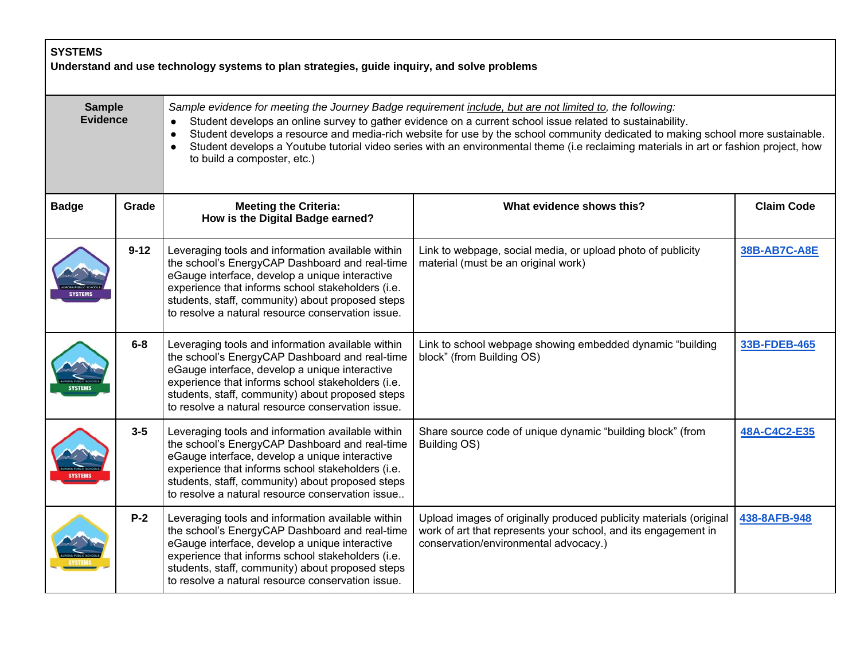| <b>SYSTEMS</b><br>Understand and use technology systems to plan strategies, guide inquiry, and solve problems |          |                                                                                                                                                                                                                                                                                                                                                                                                                                                                                                                                                |                                                                                                                                                                               |                     |
|---------------------------------------------------------------------------------------------------------------|----------|------------------------------------------------------------------------------------------------------------------------------------------------------------------------------------------------------------------------------------------------------------------------------------------------------------------------------------------------------------------------------------------------------------------------------------------------------------------------------------------------------------------------------------------------|-------------------------------------------------------------------------------------------------------------------------------------------------------------------------------|---------------------|
| <b>Sample</b><br><b>Evidence</b>                                                                              |          | Sample evidence for meeting the Journey Badge requirement include, but are not limited to, the following:<br>Student develops an online survey to gather evidence on a current school issue related to sustainability.<br>Student develops a resource and media-rich website for use by the school community dedicated to making school more sustainable.<br>Student develops a Youtube tutorial video series with an environmental theme (i.e reclaiming materials in art or fashion project, how<br>$\bullet$<br>to build a composter, etc.) |                                                                                                                                                                               |                     |
| <b>Badge</b>                                                                                                  | Grade    | <b>Meeting the Criteria:</b><br>How is the Digital Badge earned?                                                                                                                                                                                                                                                                                                                                                                                                                                                                               | What evidence shows this?                                                                                                                                                     | <b>Claim Code</b>   |
|                                                                                                               | $9 - 12$ | Leveraging tools and information available within<br>the school's EnergyCAP Dashboard and real-time<br>eGauge interface, develop a unique interactive<br>experience that informs school stakeholders (i.e.<br>students, staff, community) about proposed steps<br>to resolve a natural resource conservation issue.                                                                                                                                                                                                                            | Link to webpage, social media, or upload photo of publicity<br>material (must be an original work)                                                                            | <b>38B-AB7C-A8E</b> |
|                                                                                                               | $6-8$    | Leveraging tools and information available within<br>the school's EnergyCAP Dashboard and real-time<br>eGauge interface, develop a unique interactive<br>experience that informs school stakeholders (i.e.<br>students, staff, community) about proposed steps<br>to resolve a natural resource conservation issue.                                                                                                                                                                                                                            | Link to school webpage showing embedded dynamic "building<br>block" (from Building OS)                                                                                        | 33B-FDEB-465        |
|                                                                                                               | $3-5$    | Leveraging tools and information available within<br>the school's EnergyCAP Dashboard and real-time<br>eGauge interface, develop a unique interactive<br>experience that informs school stakeholders (i.e.<br>students, staff, community) about proposed steps<br>to resolve a natural resource conservation issue                                                                                                                                                                                                                             | Share source code of unique dynamic "building block" (from<br>Building OS)                                                                                                    | 48A-C4C2-E35        |
|                                                                                                               | $P-2$    | Leveraging tools and information available within<br>the school's EnergyCAP Dashboard and real-time<br>eGauge interface, develop a unique interactive<br>experience that informs school stakeholders (i.e.<br>students, staff, community) about proposed steps<br>to resolve a natural resource conservation issue.                                                                                                                                                                                                                            | Upload images of originally produced publicity materials (original<br>work of art that represents your school, and its engagement in<br>conservation/environmental advocacy.) | 438-8AFB-948        |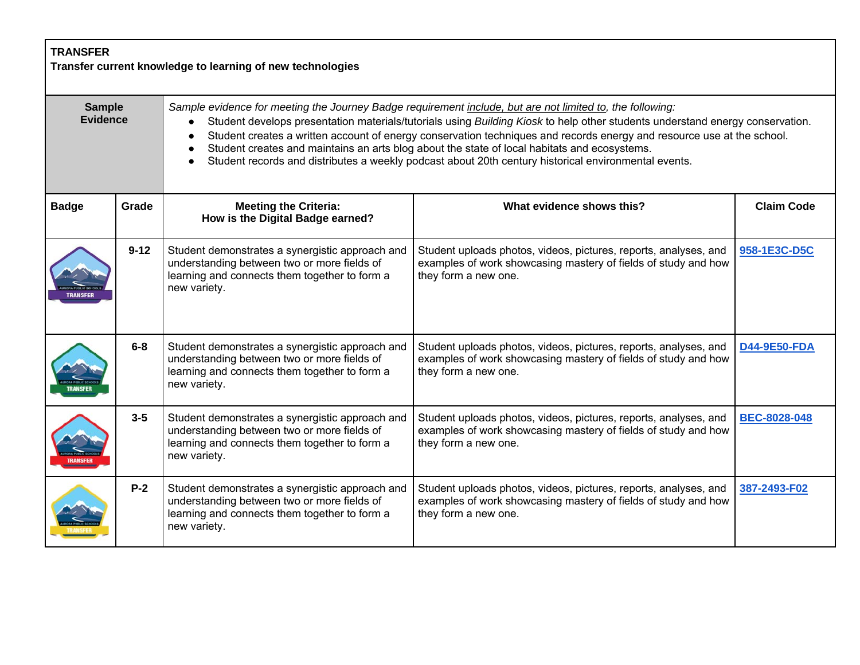| <b>TRANSFER</b><br>Transfer current knowledge to learning of new technologies |          |                                                                                                                                                                                                                                                                                                                                                                                                                                                                                                                                                                              |                                                                                                                                                            |                     |  |
|-------------------------------------------------------------------------------|----------|------------------------------------------------------------------------------------------------------------------------------------------------------------------------------------------------------------------------------------------------------------------------------------------------------------------------------------------------------------------------------------------------------------------------------------------------------------------------------------------------------------------------------------------------------------------------------|------------------------------------------------------------------------------------------------------------------------------------------------------------|---------------------|--|
| <b>Sample</b><br><b>Evidence</b>                                              |          | Sample evidence for meeting the Journey Badge requirement include, but are not limited to, the following:<br>Student develops presentation materials/tutorials using Building Kiosk to help other students understand energy conservation.<br>Student creates a written account of energy conservation techniques and records energy and resource use at the school.<br>Student creates and maintains an arts blog about the state of local habitats and ecosystems.<br>Student records and distributes a weekly podcast about 20th century historical environmental events. |                                                                                                                                                            |                     |  |
| <b>Badge</b>                                                                  | Grade    | <b>Meeting the Criteria:</b><br>How is the Digital Badge earned?                                                                                                                                                                                                                                                                                                                                                                                                                                                                                                             | What evidence shows this?                                                                                                                                  | <b>Claim Code</b>   |  |
|                                                                               | $9 - 12$ | Student demonstrates a synergistic approach and<br>understanding between two or more fields of<br>learning and connects them together to form a<br>new variety.                                                                                                                                                                                                                                                                                                                                                                                                              | Student uploads photos, videos, pictures, reports, analyses, and<br>examples of work showcasing mastery of fields of study and how<br>they form a new one. | 958-1E3C-D5C        |  |
|                                                                               | $6-8$    | Student demonstrates a synergistic approach and<br>understanding between two or more fields of<br>learning and connects them together to form a<br>new variety.                                                                                                                                                                                                                                                                                                                                                                                                              | Student uploads photos, videos, pictures, reports, analyses, and<br>examples of work showcasing mastery of fields of study and how<br>they form a new one. | <b>D44-9E50-FDA</b> |  |
|                                                                               | $3-5$    | Student demonstrates a synergistic approach and<br>understanding between two or more fields of<br>learning and connects them together to form a<br>new variety.                                                                                                                                                                                                                                                                                                                                                                                                              | Student uploads photos, videos, pictures, reports, analyses, and<br>examples of work showcasing mastery of fields of study and how<br>they form a new one. | <b>BEC-8028-048</b> |  |
|                                                                               | $P-2$    | Student demonstrates a synergistic approach and<br>understanding between two or more fields of<br>learning and connects them together to form a<br>new variety.                                                                                                                                                                                                                                                                                                                                                                                                              | Student uploads photos, videos, pictures, reports, analyses, and<br>examples of work showcasing mastery of fields of study and how<br>they form a new one. | 387-2493-F02        |  |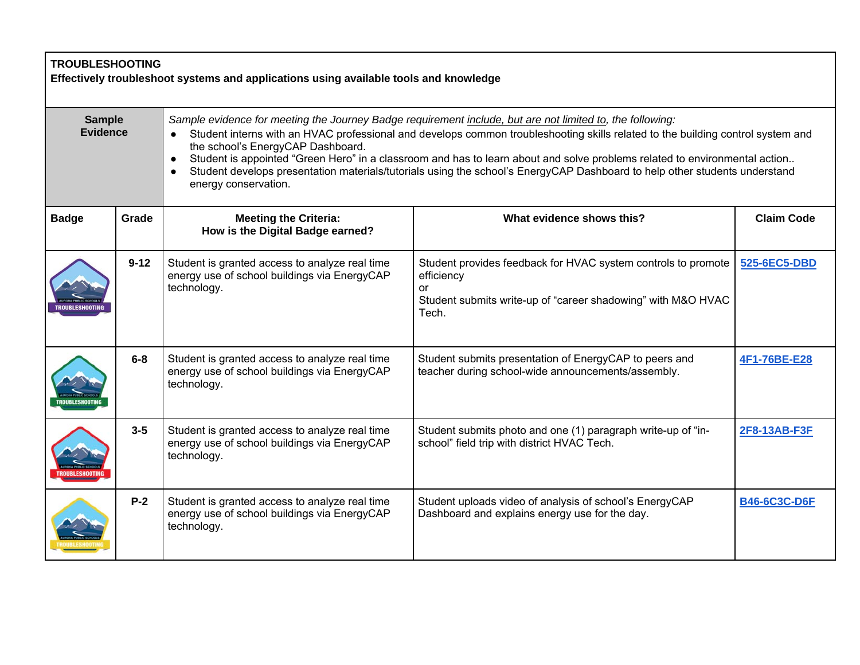| <b>TROUBLESHOOTING</b><br>Effectively troubleshoot systems and applications using available tools and knowledge |          |                                                                                                                                                                                                                                                                                                                                                                                                                                                                                                                                                                                    |                                                                                                                                                            |                     |  |
|-----------------------------------------------------------------------------------------------------------------|----------|------------------------------------------------------------------------------------------------------------------------------------------------------------------------------------------------------------------------------------------------------------------------------------------------------------------------------------------------------------------------------------------------------------------------------------------------------------------------------------------------------------------------------------------------------------------------------------|------------------------------------------------------------------------------------------------------------------------------------------------------------|---------------------|--|
| <b>Sample</b><br><b>Evidence</b>                                                                                |          | Sample evidence for meeting the Journey Badge requirement include, but are not limited to, the following:<br>Student interns with an HVAC professional and develops common troubleshooting skills related to the building control system and<br>the school's EnergyCAP Dashboard.<br>Student is appointed "Green Hero" in a classroom and has to learn about and solve problems related to environmental action<br>$\bullet$<br>Student develops presentation materials/tutorials using the school's EnergyCAP Dashboard to help other students understand<br>energy conservation. |                                                                                                                                                            |                     |  |
| <b>Badge</b>                                                                                                    | Grade    | <b>Meeting the Criteria:</b><br>How is the Digital Badge earned?                                                                                                                                                                                                                                                                                                                                                                                                                                                                                                                   | What evidence shows this?                                                                                                                                  | <b>Claim Code</b>   |  |
|                                                                                                                 | $9 - 12$ | Student is granted access to analyze real time<br>energy use of school buildings via EnergyCAP<br>technology.                                                                                                                                                                                                                                                                                                                                                                                                                                                                      | Student provides feedback for HVAC system controls to promote<br>efficiency<br>or<br>Student submits write-up of "career shadowing" with M&O HVAC<br>Tech. | 525-6EC5-DBD        |  |
|                                                                                                                 | $6-8$    | Student is granted access to analyze real time<br>energy use of school buildings via EnergyCAP<br>technology.                                                                                                                                                                                                                                                                                                                                                                                                                                                                      | Student submits presentation of EnergyCAP to peers and<br>teacher during school-wide announcements/assembly.                                               | 4F1-76BE-E28        |  |
|                                                                                                                 | $3 - 5$  | Student is granted access to analyze real time<br>energy use of school buildings via EnergyCAP<br>technology.                                                                                                                                                                                                                                                                                                                                                                                                                                                                      | Student submits photo and one (1) paragraph write-up of "in-<br>school" field trip with district HVAC Tech.                                                | 2F8-13AB-F3F        |  |
|                                                                                                                 | $P-2$    | Student is granted access to analyze real time<br>energy use of school buildings via EnergyCAP<br>technology.                                                                                                                                                                                                                                                                                                                                                                                                                                                                      | Student uploads video of analysis of school's EnergyCAP<br>Dashboard and explains energy use for the day.                                                  | <b>B46-6C3C-D6F</b> |  |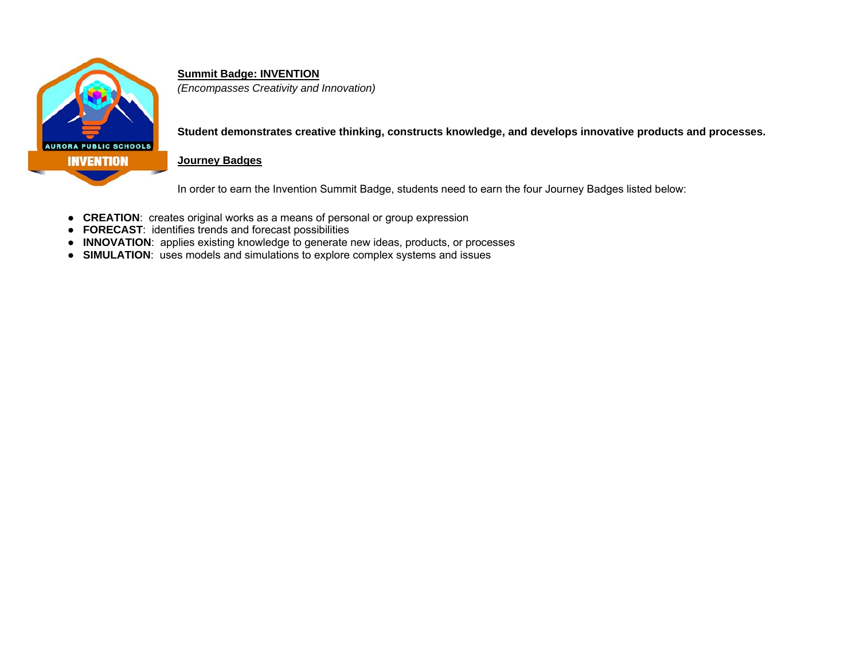

### **Summit Badge: INVENTION**

*(Encompasses Creativity and Innovation)* 

**Student demonstrates creative thinking, constructs knowledge, and develops innovative products and processes.** 

#### **Journey Badges**

In order to earn the Invention Summit Badge, students need to earn the four Journey Badges listed below:

- **CREATION**: creates original works as a means of personal or group expression
- **FORECAST**: identifies trends and forecast possibilities
- **INNOVATION**: applies existing knowledge to generate new ideas, products, or processes
- **SIMULATION**: uses models and simulations to explore complex systems and issues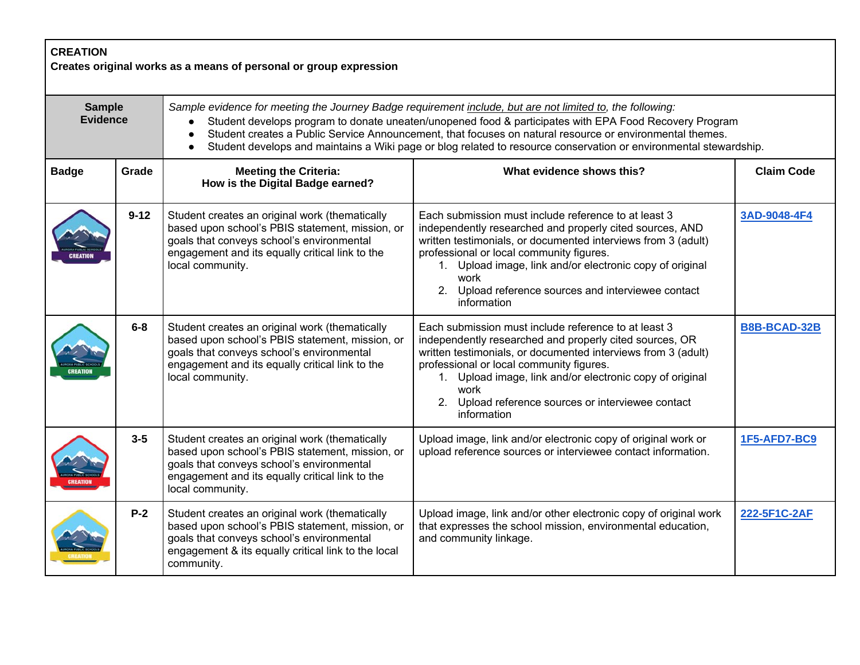| <b>CREATION</b><br>Creates original works as a means of personal or group expression |          |                                                                                                                                                                                                                                                                                                                                                                                                                                                      |                                                                                                                                                                                                                                                                                                                                                                         |                     |  |
|--------------------------------------------------------------------------------------|----------|------------------------------------------------------------------------------------------------------------------------------------------------------------------------------------------------------------------------------------------------------------------------------------------------------------------------------------------------------------------------------------------------------------------------------------------------------|-------------------------------------------------------------------------------------------------------------------------------------------------------------------------------------------------------------------------------------------------------------------------------------------------------------------------------------------------------------------------|---------------------|--|
| <b>Sample</b><br><b>Evidence</b>                                                     |          | Sample evidence for meeting the Journey Badge requirement include, but are not limited to, the following:<br>Student develops program to donate uneaten/unopened food & participates with EPA Food Recovery Program<br>Student creates a Public Service Announcement, that focuses on natural resource or environmental themes.<br>Student develops and maintains a Wiki page or blog related to resource conservation or environmental stewardship. |                                                                                                                                                                                                                                                                                                                                                                         |                     |  |
| <b>Badge</b>                                                                         | Grade    | <b>Meeting the Criteria:</b><br>How is the Digital Badge earned?                                                                                                                                                                                                                                                                                                                                                                                     | What evidence shows this?                                                                                                                                                                                                                                                                                                                                               | <b>Claim Code</b>   |  |
|                                                                                      | $9 - 12$ | Student creates an original work (thematically<br>based upon school's PBIS statement, mission, or<br>goals that conveys school's environmental<br>engagement and its equally critical link to the<br>local community.                                                                                                                                                                                                                                | Each submission must include reference to at least 3<br>independently researched and properly cited sources, AND<br>written testimonials, or documented interviews from 3 (adult)<br>professional or local community figures.<br>1. Upload image, link and/or electronic copy of original<br>work<br>2. Upload reference sources and interviewee contact<br>information | 3AD-9048-4F4        |  |
|                                                                                      | $6-8$    | Student creates an original work (thematically<br>based upon school's PBIS statement, mission, or<br>goals that conveys school's environmental<br>engagement and its equally critical link to the<br>local community.                                                                                                                                                                                                                                | Each submission must include reference to at least 3<br>independently researched and properly cited sources, OR<br>written testimonials, or documented interviews from 3 (adult)<br>professional or local community figures.<br>1. Upload image, link and/or electronic copy of original<br>work<br>2. Upload reference sources or interviewee contact<br>information   | <b>B8B-BCAD-32B</b> |  |
|                                                                                      | $3-5$    | Student creates an original work (thematically<br>based upon school's PBIS statement, mission, or<br>goals that conveys school's environmental<br>engagement and its equally critical link to the<br>local community.                                                                                                                                                                                                                                | Upload image, link and/or electronic copy of original work or<br>upload reference sources or interviewee contact information.                                                                                                                                                                                                                                           | 1F5-AFD7-BC9        |  |
|                                                                                      | $P-2$    | Student creates an original work (thematically<br>based upon school's PBIS statement, mission, or<br>goals that conveys school's environmental<br>engagement & its equally critical link to the local<br>community.                                                                                                                                                                                                                                  | Upload image, link and/or other electronic copy of original work<br>that expresses the school mission, environmental education,<br>and community linkage.                                                                                                                                                                                                               | 222-5F1C-2AF        |  |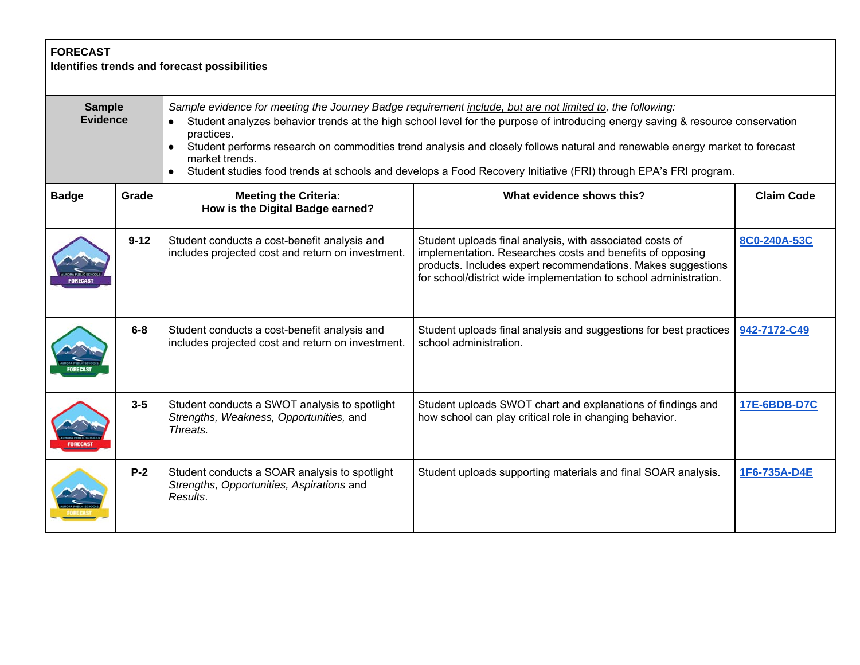| <b>FORECAST</b><br>Identifies trends and forecast possibilities |          |                                                                                                                                                                                                                                                                                                                                                                                                                                                                                                                               |                                                                                                                                                                                                                                                            |                     |  |
|-----------------------------------------------------------------|----------|-------------------------------------------------------------------------------------------------------------------------------------------------------------------------------------------------------------------------------------------------------------------------------------------------------------------------------------------------------------------------------------------------------------------------------------------------------------------------------------------------------------------------------|------------------------------------------------------------------------------------------------------------------------------------------------------------------------------------------------------------------------------------------------------------|---------------------|--|
| <b>Sample</b><br><b>Evidence</b>                                |          | Sample evidence for meeting the Journey Badge requirement include, but are not limited to, the following:<br>Student analyzes behavior trends at the high school level for the purpose of introducing energy saving & resource conservation<br>practices.<br>Student performs research on commodities trend analysis and closely follows natural and renewable energy market to forecast<br>market trends.<br>Student studies food trends at schools and develops a Food Recovery Initiative (FRI) through EPA's FRI program. |                                                                                                                                                                                                                                                            |                     |  |
| <b>Badge</b>                                                    | Grade    | <b>Meeting the Criteria:</b><br>How is the Digital Badge earned?                                                                                                                                                                                                                                                                                                                                                                                                                                                              | What evidence shows this?                                                                                                                                                                                                                                  | <b>Claim Code</b>   |  |
|                                                                 | $9 - 12$ | Student conducts a cost-benefit analysis and<br>includes projected cost and return on investment.                                                                                                                                                                                                                                                                                                                                                                                                                             | Student uploads final analysis, with associated costs of<br>implementation. Researches costs and benefits of opposing<br>products. Includes expert recommendations. Makes suggestions<br>for school/district wide implementation to school administration. | 8C0-240A-53C        |  |
|                                                                 | $6-8$    | Student conducts a cost-benefit analysis and<br>includes projected cost and return on investment.                                                                                                                                                                                                                                                                                                                                                                                                                             | Student uploads final analysis and suggestions for best practices<br>school administration.                                                                                                                                                                | 942-7172-C49        |  |
|                                                                 | $3 - 5$  | Student conducts a SWOT analysis to spotlight<br>Strengths, Weakness, Opportunities, and<br>Threats.                                                                                                                                                                                                                                                                                                                                                                                                                          | Student uploads SWOT chart and explanations of findings and<br>how school can play critical role in changing behavior.                                                                                                                                     | <b>17E-6BDB-D7C</b> |  |
|                                                                 | $P-2$    | Student conducts a SOAR analysis to spotlight<br>Strengths, Opportunities, Aspirations and<br>Results.                                                                                                                                                                                                                                                                                                                                                                                                                        | Student uploads supporting materials and final SOAR analysis.                                                                                                                                                                                              | 1F6-735A-D4E        |  |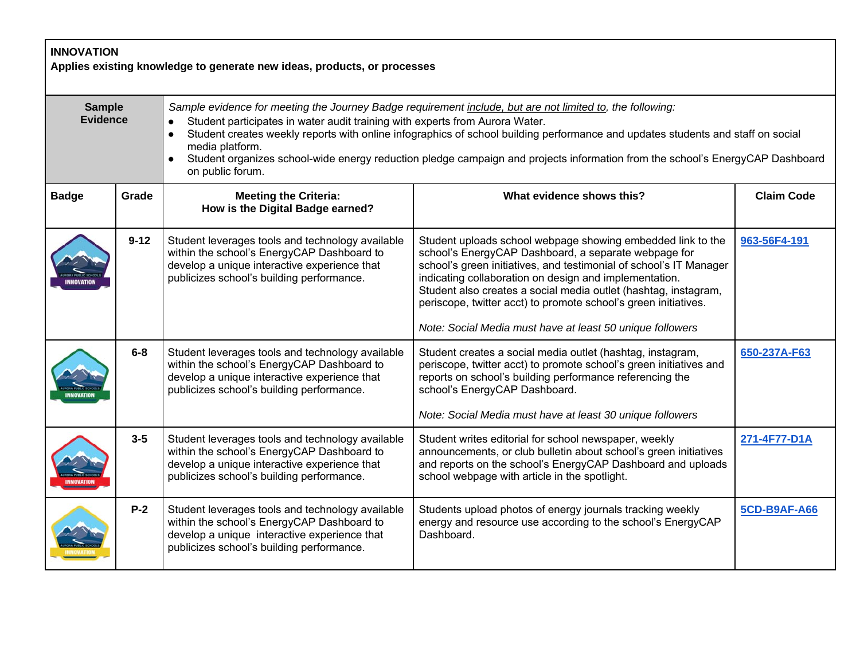|                                  | <b>INNOVATION</b><br>Applies existing knowledge to generate new ideas, products, or processes |                                                                                                                                                                                                                                                                                                                                                                                                                                                                                                      |                                                                                                                                                                                                                                                                                                                                                                                                                                                        |                     |  |  |
|----------------------------------|-----------------------------------------------------------------------------------------------|------------------------------------------------------------------------------------------------------------------------------------------------------------------------------------------------------------------------------------------------------------------------------------------------------------------------------------------------------------------------------------------------------------------------------------------------------------------------------------------------------|--------------------------------------------------------------------------------------------------------------------------------------------------------------------------------------------------------------------------------------------------------------------------------------------------------------------------------------------------------------------------------------------------------------------------------------------------------|---------------------|--|--|
| <b>Sample</b><br><b>Evidence</b> |                                                                                               | Sample evidence for meeting the Journey Badge requirement include, but are not limited to, the following:<br>Student participates in water audit training with experts from Aurora Water.<br>Student creates weekly reports with online infographics of school building performance and updates students and staff on social<br>media platform.<br>Student organizes school-wide energy reduction pledge campaign and projects information from the school's EnergyCAP Dashboard<br>on public forum. |                                                                                                                                                                                                                                                                                                                                                                                                                                                        |                     |  |  |
| <b>Badge</b>                     | Grade                                                                                         | <b>Meeting the Criteria:</b><br>How is the Digital Badge earned?                                                                                                                                                                                                                                                                                                                                                                                                                                     | What evidence shows this?                                                                                                                                                                                                                                                                                                                                                                                                                              | <b>Claim Code</b>   |  |  |
|                                  | $9 - 12$                                                                                      | Student leverages tools and technology available<br>within the school's EnergyCAP Dashboard to<br>develop a unique interactive experience that<br>publicizes school's building performance.                                                                                                                                                                                                                                                                                                          | Student uploads school webpage showing embedded link to the<br>school's EnergyCAP Dashboard, a separate webpage for<br>school's green initiatives, and testimonial of school's IT Manager<br>indicating collaboration on design and implementation.<br>Student also creates a social media outlet (hashtag, instagram,<br>periscope, twitter acct) to promote school's green initiatives.<br>Note: Social Media must have at least 50 unique followers | 963-56F4-191        |  |  |
|                                  | $6-8$                                                                                         | Student leverages tools and technology available<br>within the school's EnergyCAP Dashboard to<br>develop a unique interactive experience that<br>publicizes school's building performance.                                                                                                                                                                                                                                                                                                          | Student creates a social media outlet (hashtag, instagram,<br>periscope, twitter acct) to promote school's green initiatives and<br>reports on school's building performance referencing the<br>school's EnergyCAP Dashboard.<br>Note: Social Media must have at least 30 unique followers                                                                                                                                                             | 650-237A-F63        |  |  |
|                                  | $3 - 5$                                                                                       | Student leverages tools and technology available<br>within the school's EnergyCAP Dashboard to<br>develop a unique interactive experience that<br>publicizes school's building performance.                                                                                                                                                                                                                                                                                                          | Student writes editorial for school newspaper, weekly<br>announcements, or club bulletin about school's green initiatives<br>and reports on the school's EnergyCAP Dashboard and uploads<br>school webpage with article in the spotlight.                                                                                                                                                                                                              | 271-4F77-D1A        |  |  |
|                                  | $P-2$                                                                                         | Student leverages tools and technology available<br>within the school's EnergyCAP Dashboard to<br>develop a unique interactive experience that<br>publicizes school's building performance.                                                                                                                                                                                                                                                                                                          | Students upload photos of energy journals tracking weekly<br>energy and resource use according to the school's EnergyCAP<br>Dashboard.                                                                                                                                                                                                                                                                                                                 | <b>5CD-B9AF-A66</b> |  |  |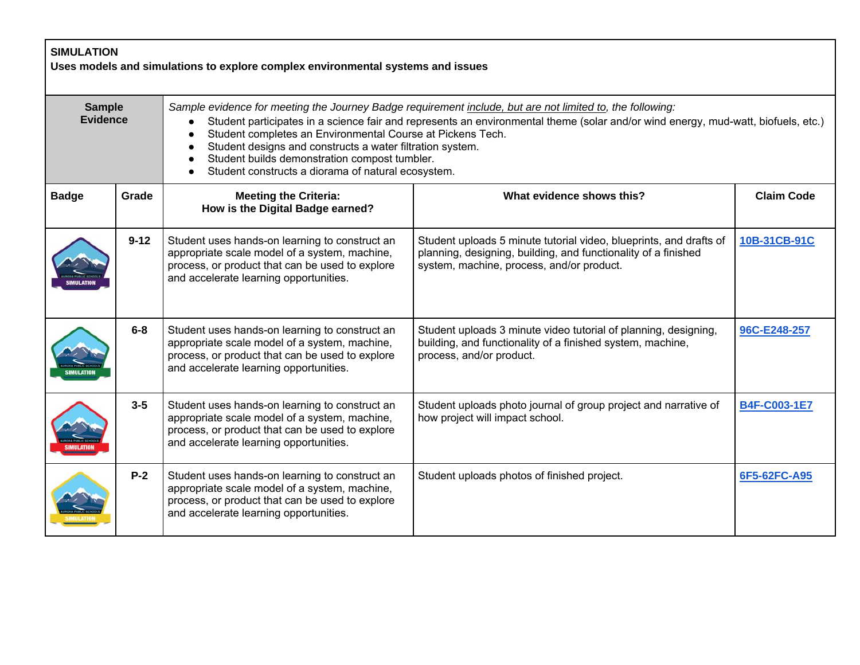| <b>SIMULATION</b><br>Uses models and simulations to explore complex environmental systems and issues |          |                                                                                                                                                                                                                                                                                                                                                                                                                                                                                  |                                                                                                                                                                                   |                   |  |
|------------------------------------------------------------------------------------------------------|----------|----------------------------------------------------------------------------------------------------------------------------------------------------------------------------------------------------------------------------------------------------------------------------------------------------------------------------------------------------------------------------------------------------------------------------------------------------------------------------------|-----------------------------------------------------------------------------------------------------------------------------------------------------------------------------------|-------------------|--|
| <b>Sample</b><br><b>Evidence</b>                                                                     |          | Sample evidence for meeting the Journey Badge requirement include, but are not limited to, the following:<br>Student participates in a science fair and represents an environmental theme (solar and/or wind energy, mud-watt, biofuels, etc.)<br>Student completes an Environmental Course at Pickens Tech.<br>Student designs and constructs a water filtration system.<br>Student builds demonstration compost tumbler.<br>Student constructs a diorama of natural ecosystem. |                                                                                                                                                                                   |                   |  |
| <b>Badge</b>                                                                                         | Grade    | <b>Meeting the Criteria:</b><br>How is the Digital Badge earned?                                                                                                                                                                                                                                                                                                                                                                                                                 | What evidence shows this?                                                                                                                                                         | <b>Claim Code</b> |  |
|                                                                                                      | $9 - 12$ | Student uses hands-on learning to construct an<br>appropriate scale model of a system, machine,<br>process, or product that can be used to explore<br>and accelerate learning opportunities.                                                                                                                                                                                                                                                                                     | Student uploads 5 minute tutorial video, blueprints, and drafts of<br>planning, designing, building, and functionality of a finished<br>system, machine, process, and/or product. | 10B-31CB-91C      |  |
|                                                                                                      | $6-8$    | Student uses hands-on learning to construct an<br>appropriate scale model of a system, machine,<br>process, or product that can be used to explore<br>and accelerate learning opportunities.                                                                                                                                                                                                                                                                                     | Student uploads 3 minute video tutorial of planning, designing,<br>building, and functionality of a finished system, machine,<br>process, and/or product.                         | 96C-E248-257      |  |
|                                                                                                      | $3 - 5$  | Student uses hands-on learning to construct an<br>appropriate scale model of a system, machine,<br>process, or product that can be used to explore<br>and accelerate learning opportunities.                                                                                                                                                                                                                                                                                     | Student uploads photo journal of group project and narrative of<br>how project will impact school.                                                                                | B4F-C003-1E7      |  |
|                                                                                                      | $P-2$    | Student uses hands-on learning to construct an<br>appropriate scale model of a system, machine,<br>process, or product that can be used to explore<br>and accelerate learning opportunities.                                                                                                                                                                                                                                                                                     | Student uploads photos of finished project.                                                                                                                                       | 6F5-62FC-A95      |  |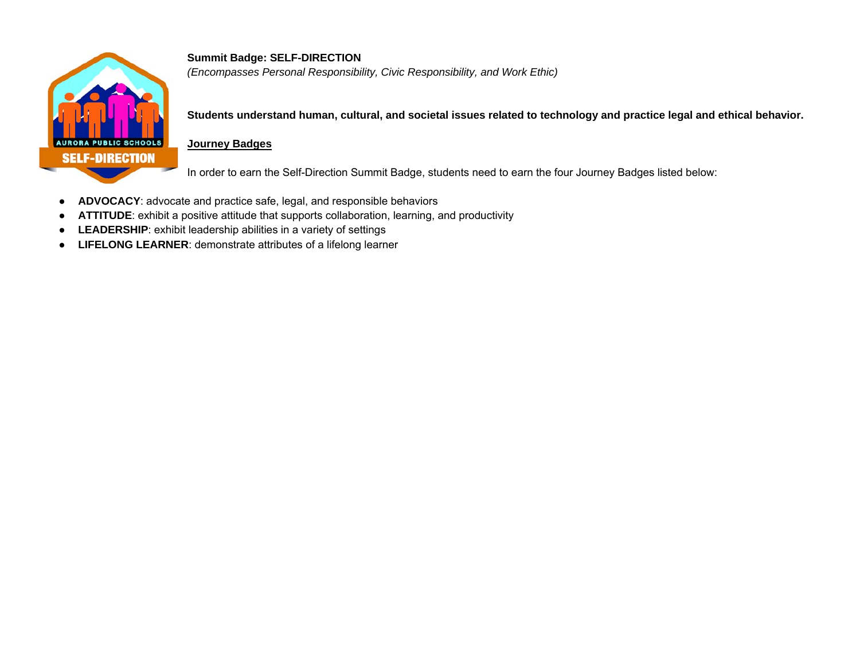

**Summit Badge: SELF-DIRECTION**  *(Encompasses Personal Responsibility, Civic Responsibility, and Work Ethic)* 

**Students understand human, cultural, and societal issues related to technology and practice legal and ethical behavior.** 

#### **Journey Badges**

In order to earn the Self-Direction Summit Badge, students need to earn the four Journey Badges listed below:

- $\bullet$ **ADVOCACY**: advocate and practice safe, legal, and responsible behaviors
- ●**ATTITUDE**: exhibit a positive attitude that supports collaboration, learning, and productivity
- $\bullet$ **LEADERSHIP**: exhibit leadership abilities in a variety of settings
- **LIFELONG LEARNER**: demonstrate attributes of a lifelong learner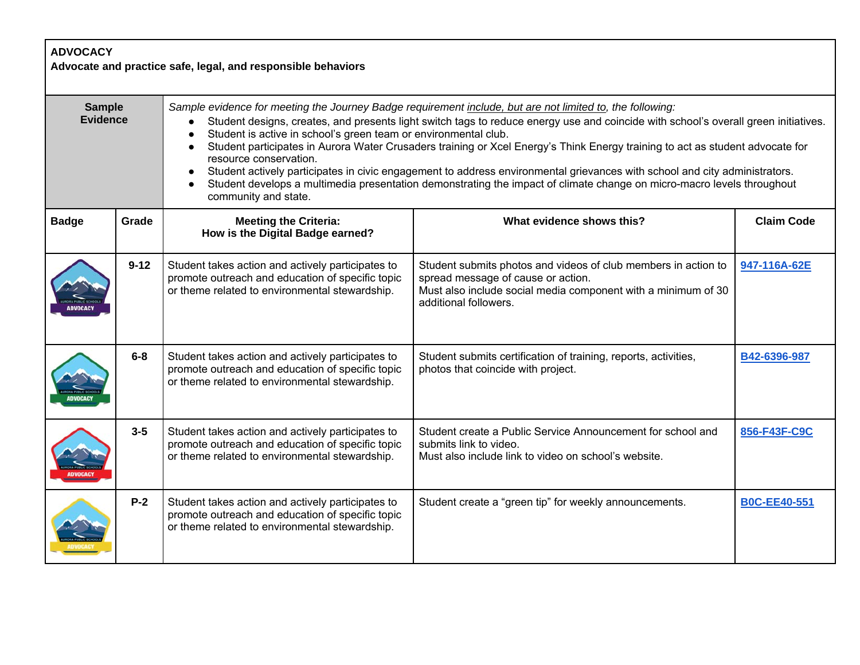| <b>ADVOCACY</b><br>Advocate and practice safe, legal, and responsible behaviors |          |                                                                                                                                                                                                                                                                                                                                                                                                                                                                                                                                                                                                                                                                                                                                                                                          |                                                                                                                                                                                                |                     |  |
|---------------------------------------------------------------------------------|----------|------------------------------------------------------------------------------------------------------------------------------------------------------------------------------------------------------------------------------------------------------------------------------------------------------------------------------------------------------------------------------------------------------------------------------------------------------------------------------------------------------------------------------------------------------------------------------------------------------------------------------------------------------------------------------------------------------------------------------------------------------------------------------------------|------------------------------------------------------------------------------------------------------------------------------------------------------------------------------------------------|---------------------|--|
| <b>Sample</b><br><b>Evidence</b>                                                |          | Sample evidence for meeting the Journey Badge requirement include, but are not limited to, the following:<br>Student designs, creates, and presents light switch tags to reduce energy use and coincide with school's overall green initiatives.<br>Student is active in school's green team or environmental club.<br>$\bullet$<br>Student participates in Aurora Water Crusaders training or Xcel Energy's Think Energy training to act as student advocate for<br>$\bullet$<br>resource conservation.<br>Student actively participates in civic engagement to address environmental grievances with school and city administrators.<br>Student develops a multimedia presentation demonstrating the impact of climate change on micro-macro levels throughout<br>community and state. |                                                                                                                                                                                                |                     |  |
| <b>Badge</b>                                                                    | Grade    | <b>Meeting the Criteria:</b><br>How is the Digital Badge earned?                                                                                                                                                                                                                                                                                                                                                                                                                                                                                                                                                                                                                                                                                                                         | What evidence shows this?                                                                                                                                                                      | <b>Claim Code</b>   |  |
|                                                                                 | $9 - 12$ | Student takes action and actively participates to<br>promote outreach and education of specific topic<br>or theme related to environmental stewardship.                                                                                                                                                                                                                                                                                                                                                                                                                                                                                                                                                                                                                                  | Student submits photos and videos of club members in action to<br>spread message of cause or action.<br>Must also include social media component with a minimum of 30<br>additional followers. | 947-116A-62E        |  |
|                                                                                 | $6-8$    | Student takes action and actively participates to<br>promote outreach and education of specific topic<br>or theme related to environmental stewardship.                                                                                                                                                                                                                                                                                                                                                                                                                                                                                                                                                                                                                                  | Student submits certification of training, reports, activities,<br>photos that coincide with project.                                                                                          | B42-6396-987        |  |
|                                                                                 | $3 - 5$  | Student takes action and actively participates to<br>promote outreach and education of specific topic<br>or theme related to environmental stewardship.                                                                                                                                                                                                                                                                                                                                                                                                                                                                                                                                                                                                                                  | Student create a Public Service Announcement for school and<br>submits link to video.<br>Must also include link to video on school's website.                                                  | 856-F43F-C9C        |  |
|                                                                                 | $P-2$    | Student takes action and actively participates to<br>promote outreach and education of specific topic<br>or theme related to environmental stewardship.                                                                                                                                                                                                                                                                                                                                                                                                                                                                                                                                                                                                                                  | Student create a "green tip" for weekly announcements.                                                                                                                                         | <b>B0C-EE40-551</b> |  |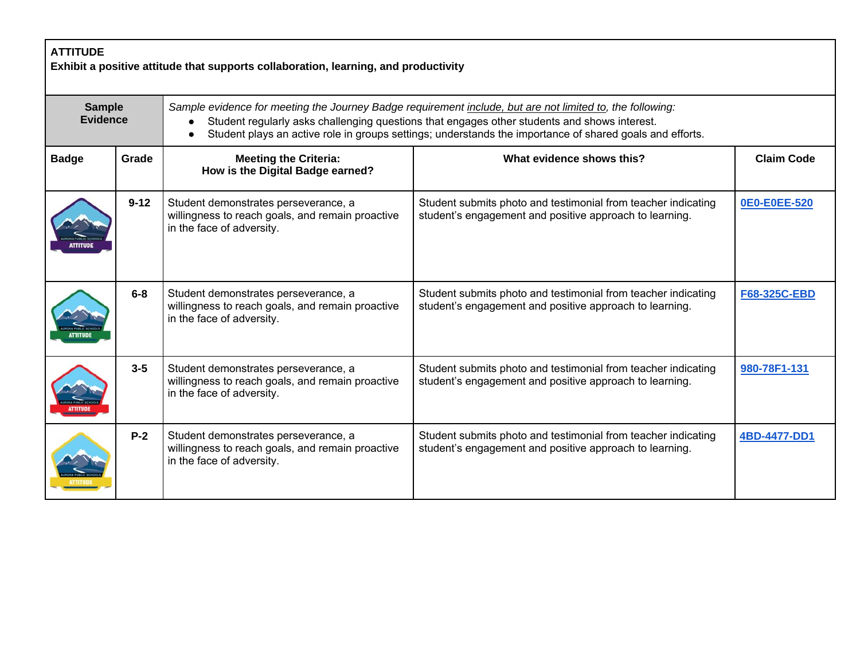| <b>ATTITUDE</b><br>Exhibit a positive attitude that supports collaboration, learning, and productivity |          |                                                                                                                                                                                                                                                                                                                       |                                                                                                                          |                   |  |
|--------------------------------------------------------------------------------------------------------|----------|-----------------------------------------------------------------------------------------------------------------------------------------------------------------------------------------------------------------------------------------------------------------------------------------------------------------------|--------------------------------------------------------------------------------------------------------------------------|-------------------|--|
| <b>Sample</b><br><b>Evidence</b>                                                                       |          | Sample evidence for meeting the Journey Badge requirement include, but are not limited to, the following:<br>Student regularly asks challenging questions that engages other students and shows interest.<br>Student plays an active role in groups settings; understands the importance of shared goals and efforts. |                                                                                                                          |                   |  |
| <b>Badge</b>                                                                                           | Grade    | <b>Meeting the Criteria:</b><br>How is the Digital Badge earned?                                                                                                                                                                                                                                                      | What evidence shows this?                                                                                                | <b>Claim Code</b> |  |
|                                                                                                        | $9 - 12$ | Student demonstrates perseverance, a<br>willingness to reach goals, and remain proactive<br>in the face of adversity.                                                                                                                                                                                                 | Student submits photo and testimonial from teacher indicating<br>student's engagement and positive approach to learning. | 0E0-E0EE-520      |  |
|                                                                                                        | $6-8$    | Student demonstrates perseverance, a<br>willingness to reach goals, and remain proactive<br>in the face of adversity.                                                                                                                                                                                                 | Student submits photo and testimonial from teacher indicating<br>student's engagement and positive approach to learning. | F68-325C-EBD      |  |
|                                                                                                        | $3 - 5$  | Student demonstrates perseverance, a<br>willingness to reach goals, and remain proactive<br>in the face of adversity.                                                                                                                                                                                                 | Student submits photo and testimonial from teacher indicating<br>student's engagement and positive approach to learning. | 980-78F1-131      |  |
|                                                                                                        | $P-2$    | Student demonstrates perseverance, a<br>willingness to reach goals, and remain proactive<br>in the face of adversity.                                                                                                                                                                                                 | Student submits photo and testimonial from teacher indicating<br>student's engagement and positive approach to learning. | 4BD-4477-DD1      |  |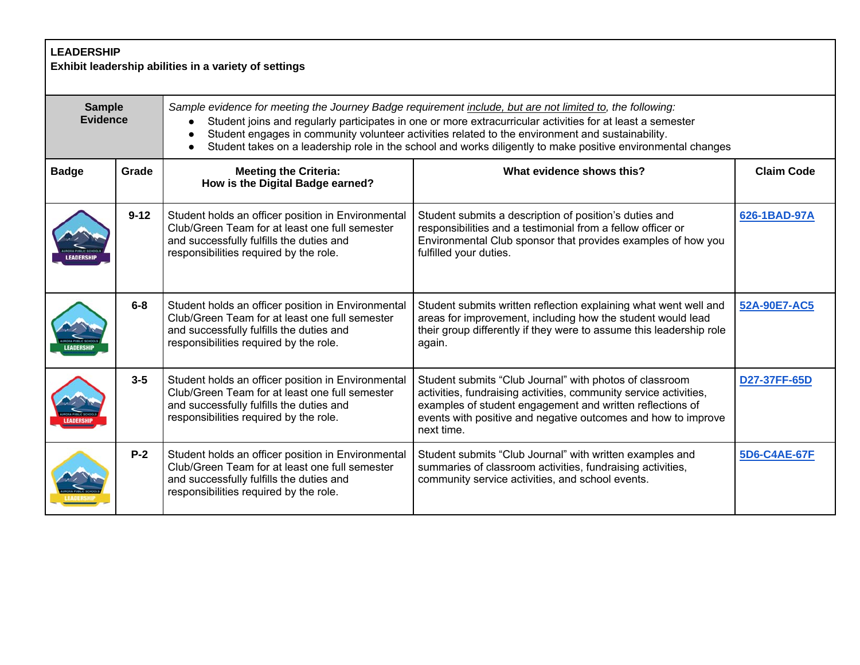| <b>LEADERSHIP</b><br>Exhibit leadership abilities in a variety of settings |          |                                                                                                                                                                                                                                                                                                                                                                                                                                             |                                                                                                                                                                                                                                                                          |                   |  |
|----------------------------------------------------------------------------|----------|---------------------------------------------------------------------------------------------------------------------------------------------------------------------------------------------------------------------------------------------------------------------------------------------------------------------------------------------------------------------------------------------------------------------------------------------|--------------------------------------------------------------------------------------------------------------------------------------------------------------------------------------------------------------------------------------------------------------------------|-------------------|--|
| <b>Sample</b><br><b>Evidence</b>                                           |          | Sample evidence for meeting the Journey Badge requirement include, but are not limited to, the following:<br>Student joins and regularly participates in one or more extracurricular activities for at least a semester<br>Student engages in community volunteer activities related to the environment and sustainability.<br>Student takes on a leadership role in the school and works diligently to make positive environmental changes |                                                                                                                                                                                                                                                                          |                   |  |
| <b>Badge</b>                                                               | Grade    | <b>Meeting the Criteria:</b><br>How is the Digital Badge earned?                                                                                                                                                                                                                                                                                                                                                                            | What evidence shows this?                                                                                                                                                                                                                                                | <b>Claim Code</b> |  |
|                                                                            | $9 - 12$ | Student holds an officer position in Environmental<br>Club/Green Team for at least one full semester<br>and successfully fulfills the duties and<br>responsibilities required by the role.                                                                                                                                                                                                                                                  | Student submits a description of position's duties and<br>responsibilities and a testimonial from a fellow officer or<br>Environmental Club sponsor that provides examples of how you<br>fulfilled your duties.                                                          | 626-1BAD-97A      |  |
|                                                                            | $6 - 8$  | Student holds an officer position in Environmental<br>Club/Green Team for at least one full semester<br>and successfully fulfills the duties and<br>responsibilities required by the role.                                                                                                                                                                                                                                                  | Student submits written reflection explaining what went well and<br>areas for improvement, including how the student would lead<br>their group differently if they were to assume this leadership role<br>again.                                                         | 52A-90E7-AC5      |  |
|                                                                            | $3 - 5$  | Student holds an officer position in Environmental<br>Club/Green Team for at least one full semester<br>and successfully fulfills the duties and<br>responsibilities required by the role.                                                                                                                                                                                                                                                  | Student submits "Club Journal" with photos of classroom<br>activities, fundraising activities, community service activities,<br>examples of student engagement and written reflections of<br>events with positive and negative outcomes and how to improve<br>next time. | D27-37FF-65D      |  |
|                                                                            | $P-2$    | Student holds an officer position in Environmental<br>Club/Green Team for at least one full semester<br>and successfully fulfills the duties and<br>responsibilities required by the role.                                                                                                                                                                                                                                                  | Student submits "Club Journal" with written examples and<br>summaries of classroom activities, fundraising activities,<br>community service activities, and school events.                                                                                               | 5D6-C4AE-67F      |  |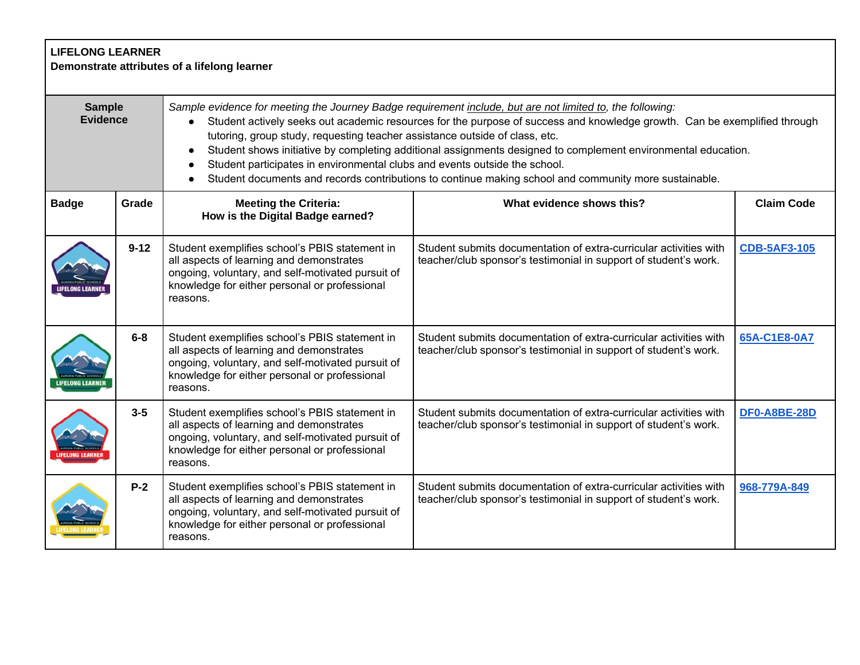| <b>LIFELONG LEARNER</b><br>Demonstrate attributes of a lifelong learner |          |                                                                                                                                                                                                                                                                                                                                                                                                                                                                                                                                                                                                                               |                                                                                                                                       |                     |  |
|-------------------------------------------------------------------------|----------|-------------------------------------------------------------------------------------------------------------------------------------------------------------------------------------------------------------------------------------------------------------------------------------------------------------------------------------------------------------------------------------------------------------------------------------------------------------------------------------------------------------------------------------------------------------------------------------------------------------------------------|---------------------------------------------------------------------------------------------------------------------------------------|---------------------|--|
| <b>Sample</b><br><b>Evidence</b>                                        |          | Sample evidence for meeting the Journey Badge requirement include, but are not limited to, the following:<br>Student actively seeks out academic resources for the purpose of success and knowledge growth. Can be exemplified through<br>tutoring, group study, requesting teacher assistance outside of class, etc.<br>Student shows initiative by completing additional assignments designed to complement environmental education.<br>Student participates in environmental clubs and events outside the school.<br>Student documents and records contributions to continue making school and community more sustainable. |                                                                                                                                       |                     |  |
| <b>Badge</b>                                                            | Grade    | <b>Meeting the Criteria:</b><br>How is the Digital Badge earned?                                                                                                                                                                                                                                                                                                                                                                                                                                                                                                                                                              | What evidence shows this?                                                                                                             | <b>Claim Code</b>   |  |
|                                                                         | $9 - 12$ | Student exemplifies school's PBIS statement in<br>all aspects of learning and demonstrates<br>ongoing, voluntary, and self-motivated pursuit of<br>knowledge for either personal or professional<br>reasons.                                                                                                                                                                                                                                                                                                                                                                                                                  | Student submits documentation of extra-curricular activities with<br>teacher/club sponsor's testimonial in support of student's work. | <b>CDB-5AF3-105</b> |  |
|                                                                         | $6-8$    | Student exemplifies school's PBIS statement in<br>all aspects of learning and demonstrates<br>ongoing, voluntary, and self-motivated pursuit of<br>knowledge for either personal or professional<br>reasons.                                                                                                                                                                                                                                                                                                                                                                                                                  | Student submits documentation of extra-curricular activities with<br>teacher/club sponsor's testimonial in support of student's work. | 65A-C1E8-0A7        |  |
|                                                                         | $3 - 5$  | Student exemplifies school's PBIS statement in<br>all aspects of learning and demonstrates<br>ongoing, voluntary, and self-motivated pursuit of<br>knowledge for either personal or professional<br>reasons.                                                                                                                                                                                                                                                                                                                                                                                                                  | Student submits documentation of extra-curricular activities with<br>teacher/club sponsor's testimonial in support of student's work. | <b>DF0-A8BE-28D</b> |  |
|                                                                         | $P-2$    | Student exemplifies school's PBIS statement in<br>all aspects of learning and demonstrates<br>ongoing, voluntary, and self-motivated pursuit of<br>knowledge for either personal or professional<br>reasons.                                                                                                                                                                                                                                                                                                                                                                                                                  | Student submits documentation of extra-curricular activities with<br>teacher/club sponsor's testimonial in support of student's work. | 968-779A-849        |  |